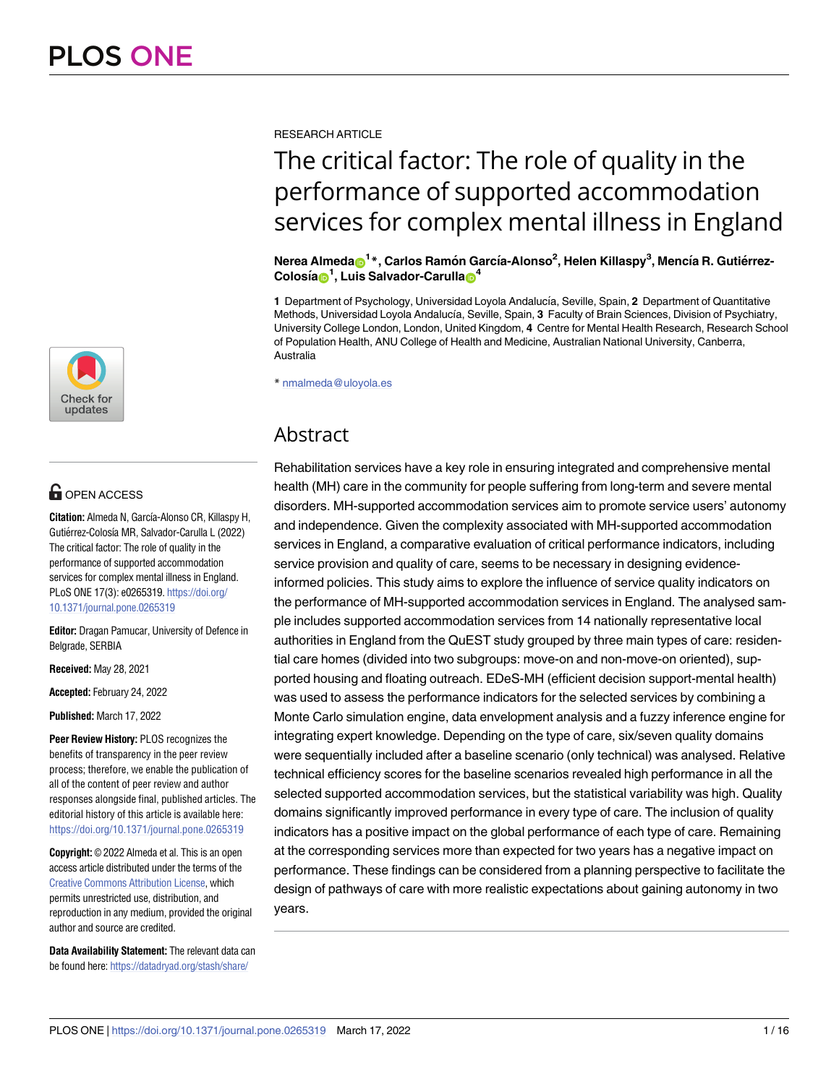

# **OPEN ACCESS**

**Citation:** Almeda N, García-Alonso CR, Killaspy H, Gutiérrez-Colosía MR, Salvador-Carulla L (2022) The critical factor: The role of quality in the performance of supported accommodation services for complex mental illness in England. PLoS ONE 17(3): e0265319. [https://doi.org/](https://doi.org/10.1371/journal.pone.0265319) [10.1371/journal.pone.0265319](https://doi.org/10.1371/journal.pone.0265319)

**Editor:** Dragan Pamucar, University of Defence in Belgrade, SERBIA

**Received:** May 28, 2021

**Accepted:** February 24, 2022

**Published:** March 17, 2022

**Peer Review History:** PLOS recognizes the benefits of transparency in the peer review process; therefore, we enable the publication of all of the content of peer review and author responses alongside final, published articles. The editorial history of this article is available here: <https://doi.org/10.1371/journal.pone.0265319>

**Copyright:** © 2022 Almeda et al. This is an open access article distributed under the terms of the Creative Commons [Attribution](http://creativecommons.org/licenses/by/4.0/) License, which permits unrestricted use, distribution, and reproduction in any medium, provided the original author and source are credited.

**Data Availability Statement:** The relevant data can be found here: [https://datadryad.org/stash/share/](https://datadryad.org/stash/share/1eXNj4HhRp0ztCLfgzkwO53k7Rh8q0MvVeZh_A14-xs)

RESEARCH ARTICLE

# The critical factor: The role of quality in the performance of supported accommodation services for complex mental illness in England

 $\mathbf{N}$ erea Almeda $\mathbf{\Theta}^\mathbf{1}{}^*$ , Carlos Ramón García-Alonso<sup>2</sup>, Helen Killaspy<sup>3</sup>, Mencía R. Gutiérrez- $\text{Colosía}^1$ , Luis Salvador-Carulla $\textbf{D}^4$ 

**1** Department of Psychology, Universidad Loyola Andalucía, Seville, Spain, 2 Department of Quantitative Methods, Universidad Loyola Andalucía, Seville, Spain, 3 Faculty of Brain Sciences, Division of Psychiatry, University College London, London, United Kingdom, **4** Centre for Mental Health Research, Research School of Population Health, ANU College of Health and Medicine, Australian National University, Canberra, Australia

\* nmalmeda@uloyola.es

# Abstract

Rehabilitation services have a key role in ensuring integrated and comprehensive mental health (MH) care in the community for people suffering from long-term and severe mental disorders. MH-supported accommodation services aim to promote service users' autonomy and independence. Given the complexity associated with MH-supported accommodation services in England, a comparative evaluation of critical performance indicators, including service provision and quality of care, seems to be necessary in designing evidenceinformed policies. This study aims to explore the influence of service quality indicators on the performance of MH-supported accommodation services in England. The analysed sample includes supported accommodation services from 14 nationally representative local authorities in England from the QuEST study grouped by three main types of care: residential care homes (divided into two subgroups: move-on and non-move-on oriented), supported housing and floating outreach. EDeS-MH (efficient decision support-mental health) was used to assess the performance indicators for the selected services by combining a Monte Carlo simulation engine, data envelopment analysis and a fuzzy inference engine for integrating expert knowledge. Depending on the type of care, six/seven quality domains were sequentially included after a baseline scenario (only technical) was analysed. Relative technical efficiency scores for the baseline scenarios revealed high performance in all the selected supported accommodation services, but the statistical variability was high. Quality domains significantly improved performance in every type of care. The inclusion of quality indicators has a positive impact on the global performance of each type of care. Remaining at the corresponding services more than expected for two years has a negative impact on performance. These findings can be considered from a planning perspective to facilitate the design of pathways of care with more realistic expectations about gaining autonomy in two years.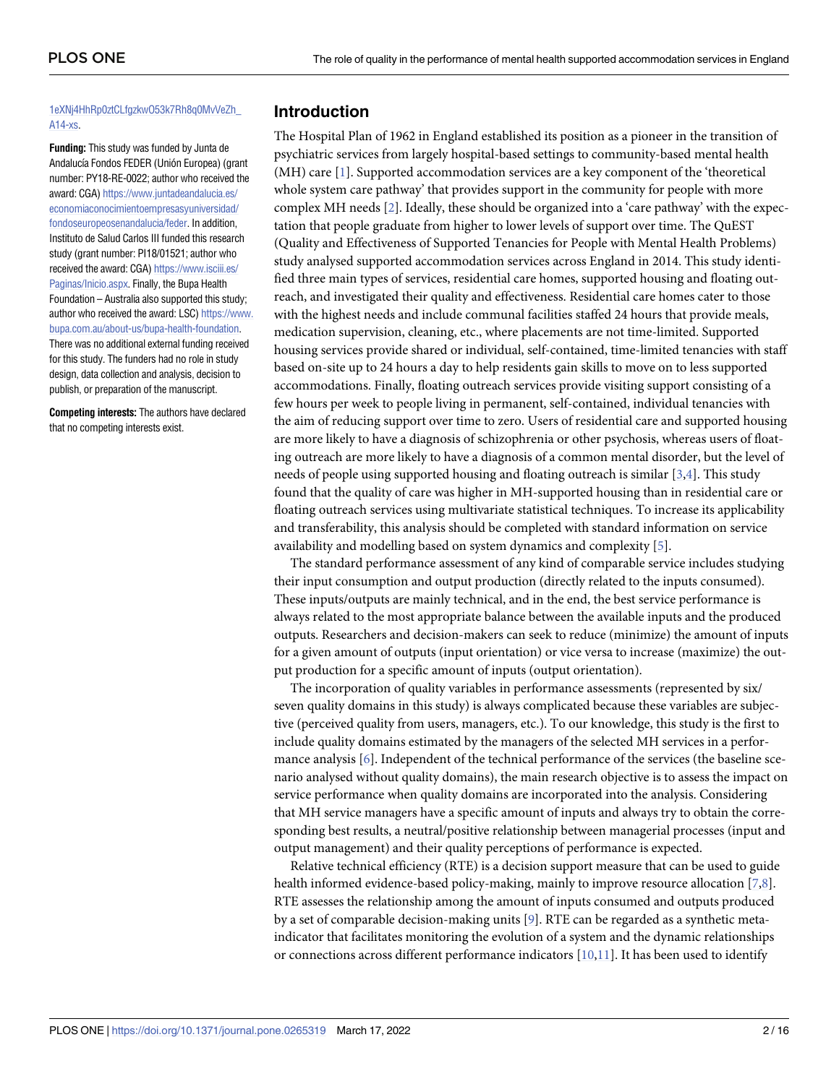#### <span id="page-1-0"></span>[1eXNj4HhRp0ztCLfgzkwO53k7Rh8q0MvVeZh\\_](https://datadryad.org/stash/share/1eXNj4HhRp0ztCLfgzkwO53k7Rh8q0MvVeZh_A14-xs) [A14-xs](https://datadryad.org/stash/share/1eXNj4HhRp0ztCLfgzkwO53k7Rh8q0MvVeZh_A14-xs).

**Funding:** This study was funded by Junta de Andalucía Fondos FEDER (Unión Europea) (grant number: PY18-RE-0022; author who received the award: CGA) [https://www.juntadeandalucia.es/](https://www.juntadeandalucia.es/economiaconocimientoempresasyuniversidad/fondoseuropeosenandalucia/feder) [economiaconocimientoempresasyuniversidad/](https://www.juntadeandalucia.es/economiaconocimientoempresasyuniversidad/fondoseuropeosenandalucia/feder) [fondoseuropeosenandalucia/feder](https://www.juntadeandalucia.es/economiaconocimientoempresasyuniversidad/fondoseuropeosenandalucia/feder). In addition, Instituto de Salud Carlos III funded this research study (grant number: PI18/01521; author who received the award: CGA) [https://www.isciii.es/](https://www.isciii.es/Paginas/Inicio.aspx) [Paginas/Inicio.aspx](https://www.isciii.es/Paginas/Inicio.aspx). Finally, the Bupa Health Foundation – Australia also supported this study; author who received the award: LSC) [https://www.](https://www.bupa.com.au/about-us/bupa-health-foundation) [bupa.com.au/about-us/bupa-health-foundation](https://www.bupa.com.au/about-us/bupa-health-foundation). There was no additional external funding received for this study. The funders had no role in study design, data collection and analysis, decision to publish, or preparation of the manuscript.

**Competing interests:** The authors have declared that no competing interests exist.

# **Introduction**

The Hospital Plan of 1962 in England established its position as a pioneer in the transition of psychiatric services from largely hospital-based settings to community-based mental health (MH) care [[1\]](#page-13-0). Supported accommodation services are a key component of the 'theoretical whole system care pathway' that provides support in the community for people with more complex MH needs [\[2](#page-13-0)]. Ideally, these should be organized into a 'care pathway' with the expectation that people graduate from higher to lower levels of support over time. The QuEST (Quality and Effectiveness of Supported Tenancies for People with Mental Health Problems) study analysed supported accommodation services across England in 2014. This study identified three main types of services, residential care homes, supported housing and floating outreach, and investigated their quality and effectiveness. Residential care homes cater to those with the highest needs and include communal facilities staffed 24 hours that provide meals, medication supervision, cleaning, etc., where placements are not time-limited. Supported housing services provide shared or individual, self-contained, time-limited tenancies with staff based on-site up to 24 hours a day to help residents gain skills to move on to less supported accommodations. Finally, floating outreach services provide visiting support consisting of a few hours per week to people living in permanent, self-contained, individual tenancies with the aim of reducing support over time to zero. Users of residential care and supported housing are more likely to have a diagnosis of schizophrenia or other psychosis, whereas users of floating outreach are more likely to have a diagnosis of a common mental disorder, but the level of needs of people using supported housing and floating outreach is similar [[3](#page-13-0),[4](#page-13-0)]. This study found that the quality of care was higher in MH-supported housing than in residential care or floating outreach services using multivariate statistical techniques. To increase its applicability and transferability, this analysis should be completed with standard information on service availability and modelling based on system dynamics and complexity [[5\]](#page-13-0).

The standard performance assessment of any kind of comparable service includes studying their input consumption and output production (directly related to the inputs consumed). These inputs/outputs are mainly technical, and in the end, the best service performance is always related to the most appropriate balance between the available inputs and the produced outputs. Researchers and decision-makers can seek to reduce (minimize) the amount of inputs for a given amount of outputs (input orientation) or vice versa to increase (maximize) the output production for a specific amount of inputs (output orientation).

The incorporation of quality variables in performance assessments (represented by six/ seven quality domains in this study) is always complicated because these variables are subjective (perceived quality from users, managers, etc.). To our knowledge, this study is the first to include quality domains estimated by the managers of the selected MH services in a performance analysis [\[6](#page-14-0)]. Independent of the technical performance of the services (the baseline scenario analysed without quality domains), the main research objective is to assess the impact on service performance when quality domains are incorporated into the analysis. Considering that MH service managers have a specific amount of inputs and always try to obtain the corresponding best results, a neutral/positive relationship between managerial processes (input and output management) and their quality perceptions of performance is expected.

Relative technical efficiency (RTE) is a decision support measure that can be used to guide health informed evidence-based policy-making, mainly to improve resource allocation [\[7,8\]](#page-14-0). RTE assesses the relationship among the amount of inputs consumed and outputs produced by a set of comparable decision-making units [\[9](#page-14-0)]. RTE can be regarded as a synthetic metaindicator that facilitates monitoring the evolution of a system and the dynamic relationships or connections across different performance indicators  $[10,11]$  $[10,11]$ . It has been used to identify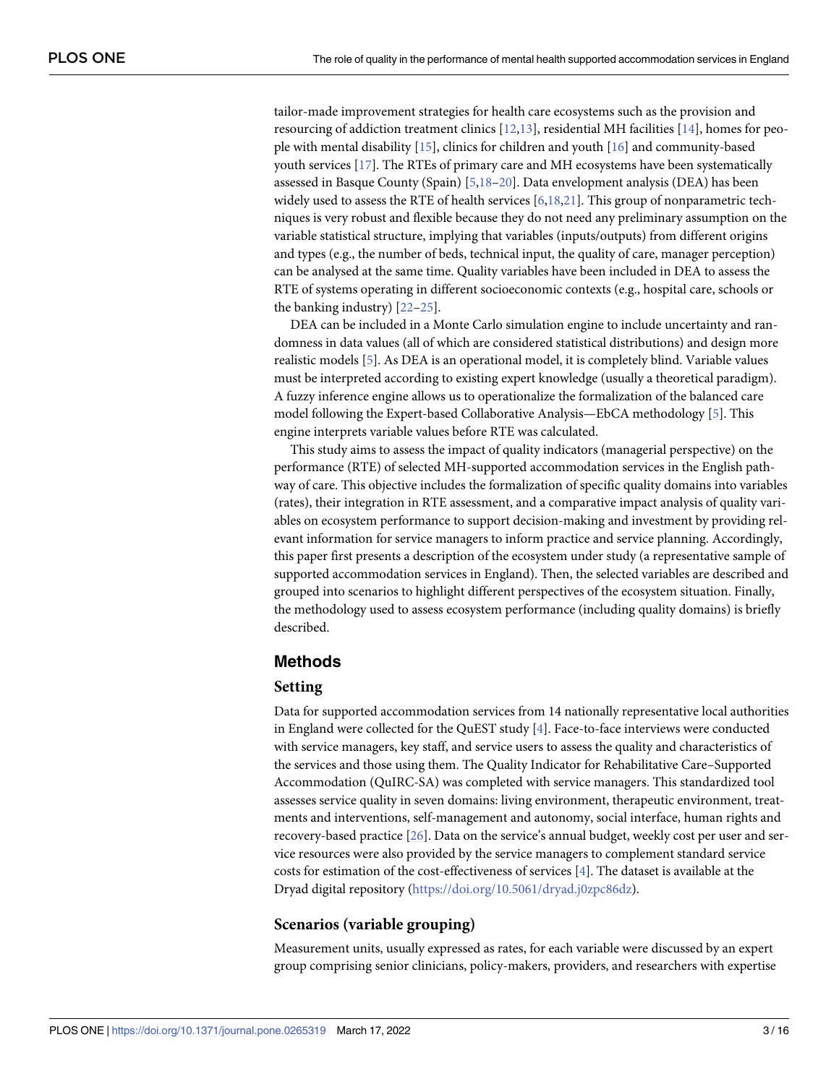<span id="page-2-0"></span>tailor-made improvement strategies for health care ecosystems such as the provision and resourcing of addiction treatment clinics [[12,13\]](#page-14-0), residential MH facilities [[14](#page-14-0)], homes for people with mental disability [[15](#page-14-0)], clinics for children and youth [\[16\]](#page-14-0) and community-based youth services [[17](#page-14-0)]. The RTEs of primary care and MH ecosystems have been systematically assessed in Basque County (Spain) [[5](#page-13-0),[18–20\]](#page-14-0). Data envelopment analysis (DEA) has been widely used to assess the RTE of health services  $[6,18,21]$  $[6,18,21]$  $[6,18,21]$  $[6,18,21]$ . This group of nonparametric techniques is very robust and flexible because they do not need any preliminary assumption on the variable statistical structure, implying that variables (inputs/outputs) from different origins and types (e.g., the number of beds, technical input, the quality of care, manager perception) can be analysed at the same time. Quality variables have been included in DEA to assess the RTE of systems operating in different socioeconomic contexts (e.g., hospital care, schools or the banking industry) [\[22–25](#page-14-0)].

DEA can be included in a Monte Carlo simulation engine to include uncertainty and randomness in data values (all of which are considered statistical distributions) and design more realistic models [[5](#page-13-0)]. As DEA is an operational model, it is completely blind. Variable values must be interpreted according to existing expert knowledge (usually a theoretical paradigm). A fuzzy inference engine allows us to operationalize the formalization of the balanced care model following the Expert-based Collaborative Analysis—EbCA methodology [\[5\]](#page-13-0). This engine interprets variable values before RTE was calculated.

This study aims to assess the impact of quality indicators (managerial perspective) on the performance (RTE) of selected MH-supported accommodation services in the English pathway of care. This objective includes the formalization of specific quality domains into variables (rates), their integration in RTE assessment, and a comparative impact analysis of quality variables on ecosystem performance to support decision-making and investment by providing relevant information for service managers to inform practice and service planning. Accordingly, this paper first presents a description of the ecosystem under study (a representative sample of supported accommodation services in England). Then, the selected variables are described and grouped into scenarios to highlight different perspectives of the ecosystem situation. Finally, the methodology used to assess ecosystem performance (including quality domains) is briefly described.

## **Methods**

#### **Setting**

Data for supported accommodation services from 14 nationally representative local authorities in England were collected for the QuEST study [[4\]](#page-13-0). Face-to-face interviews were conducted with service managers, key staff, and service users to assess the quality and characteristics of the services and those using them. The Quality Indicator for Rehabilitative Care–Supported Accommodation (QuIRC-SA) was completed with service managers. This standardized tool assesses service quality in seven domains: living environment, therapeutic environment, treatments and interventions, self-management and autonomy, social interface, human rights and recovery-based practice [[26](#page-15-0)]. Data on the service's annual budget, weekly cost per user and service resources were also provided by the service managers to complement standard service costs for estimation of the cost-effectiveness of services [[4\]](#page-13-0). The dataset is available at the Dryad digital repository [\(https://doi.org/10.5061/dryad.j0zpc86dz](https://doi.org/10.5061/dryad.j0zpc86dz)).

### **Scenarios (variable grouping)**

Measurement units, usually expressed as rates, for each variable were discussed by an expert group comprising senior clinicians, policy-makers, providers, and researchers with expertise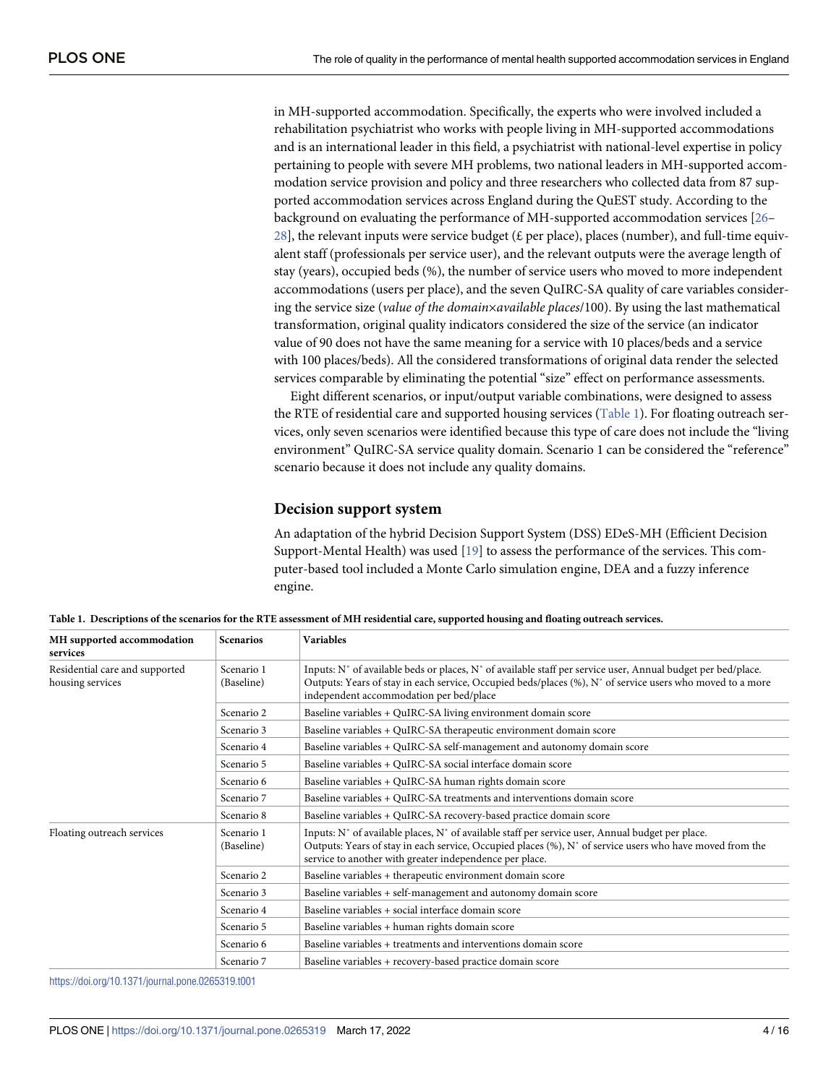<span id="page-3-0"></span>in MH-supported accommodation. Specifically, the experts who were involved included a rehabilitation psychiatrist who works with people living in MH-supported accommodations and is an international leader in this field, a psychiatrist with national-level expertise in policy pertaining to people with severe MH problems, two national leaders in MH-supported accommodation service provision and policy and three researchers who collected data from 87 supported accommodation services across England during the QuEST study. According to the background on evaluating the performance of MH-supported accommodation services [\[26–](#page-15-0) [28\]](#page-15-0), the relevant inputs were service budget ( $\pounds$  per place), places (number), and full-time equivalent staff (professionals per service user), and the relevant outputs were the average length of stay (years), occupied beds (%), the number of service users who moved to more independent accommodations (users per place), and the seven QuIRC-SA quality of care variables considering the service size (*value of the domain*×*available places*/100). By using the last mathematical transformation, original quality indicators considered the size of the service (an indicator value of 90 does not have the same meaning for a service with 10 places/beds and a service with 100 places/beds). All the considered transformations of original data render the selected services comparable by eliminating the potential "size" effect on performance assessments.

Eight different scenarios, or input/output variable combinations, were designed to assess the RTE of residential care and supported housing services (Table 1). For floating outreach services, only seven scenarios were identified because this type of care does not include the "living environment" QuIRC-SA service quality domain. Scenario 1 can be considered the "reference" scenario because it does not include any quality domains.

#### **Decision support system**

An adaptation of the hybrid Decision Support System (DSS) EDeS-MH (Efficient Decision Support-Mental Health) was used [[19](#page-14-0)] to assess the performance of the services. This computer-based tool included a Monte Carlo simulation engine, DEA and a fuzzy inference engine.

| MH supported accommodation<br>services             | <b>Scenarios</b>         | <b>Variables</b>                                                                                                                                                                                                                                                        |
|----------------------------------------------------|--------------------------|-------------------------------------------------------------------------------------------------------------------------------------------------------------------------------------------------------------------------------------------------------------------------|
| Residential care and supported<br>housing services | Scenario 1<br>(Baseline) | Inputs: N° of available beds or places, N° of available staff per service user, Annual budget per bed/place.<br>Outputs: Years of stay in each service, Occupied beds/places (%), N° of service users who moved to a more<br>independent accommodation per bed/place    |
|                                                    | Scenario 2               | Baseline variables + QuIRC-SA living environment domain score                                                                                                                                                                                                           |
|                                                    | Scenario 3               | Baseline variables + QuIRC-SA therapeutic environment domain score                                                                                                                                                                                                      |
|                                                    | Scenario 4               | Baseline variables + QuIRC-SA self-management and autonomy domain score                                                                                                                                                                                                 |
|                                                    | Scenario 5               | Baseline variables + QuIRC-SA social interface domain score                                                                                                                                                                                                             |
|                                                    | Scenario 6               | Baseline variables + QuIRC-SA human rights domain score                                                                                                                                                                                                                 |
|                                                    | Scenario 7               | Baseline variables + QuIRC-SA treatments and interventions domain score                                                                                                                                                                                                 |
|                                                    | Scenario 8               | Baseline variables + QuIRC-SA recovery-based practice domain score                                                                                                                                                                                                      |
| Floating outreach services                         | Scenario 1<br>(Baseline) | Inputs: N° of available places, N° of available staff per service user, Annual budget per place.<br>Outputs: Years of stay in each service, Occupied places (%), N° of service users who have moved from the<br>service to another with greater independence per place. |
|                                                    | Scenario 2               | Baseline variables + therapeutic environment domain score                                                                                                                                                                                                               |
|                                                    | Scenario 3               | Baseline variables + self-management and autonomy domain score                                                                                                                                                                                                          |
|                                                    | Scenario 4               | Baseline variables + social interface domain score                                                                                                                                                                                                                      |
|                                                    | Scenario 5               | Baseline variables + human rights domain score                                                                                                                                                                                                                          |
|                                                    | Scenario 6               | Baseline variables + treatments and interventions domain score                                                                                                                                                                                                          |
|                                                    | Scenario 7               | Baseline variables + recovery-based practice domain score                                                                                                                                                                                                               |

Table 1. Descriptions of the scenarios for the RTE assessment of MH residential care, supported housing and floating outreach services.

<https://doi.org/10.1371/journal.pone.0265319.t001>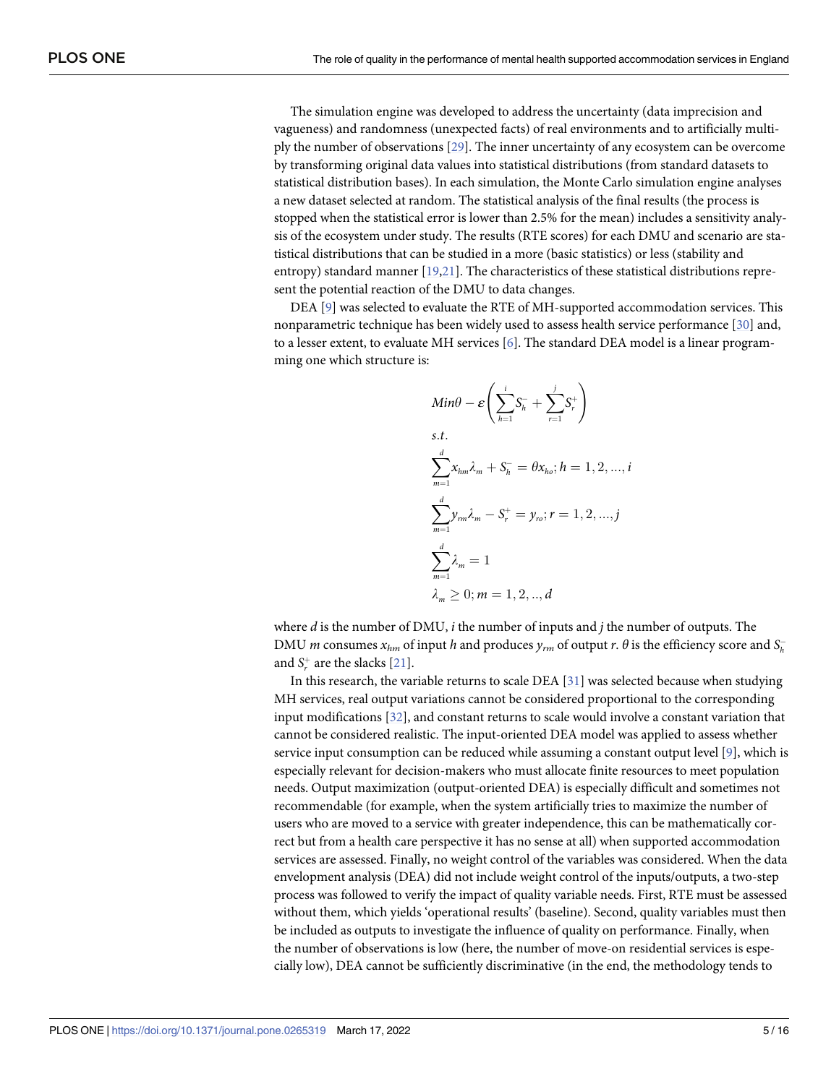<span id="page-4-0"></span>The simulation engine was developed to address the uncertainty (data imprecision and vagueness) and randomness (unexpected facts) of real environments and to artificially multiply the number of observations [\[29\]](#page-15-0). The inner uncertainty of any ecosystem can be overcome by transforming original data values into statistical distributions (from standard datasets to statistical distribution bases). In each simulation, the Monte Carlo simulation engine analyses a new dataset selected at random. The statistical analysis of the final results (the process is stopped when the statistical error is lower than 2.5% for the mean) includes a sensitivity analysis of the ecosystem under study. The results (RTE scores) for each DMU and scenario are statistical distributions that can be studied in a more (basic statistics) or less (stability and entropy) standard manner [\[19,21](#page-14-0)]. The characteristics of these statistical distributions represent the potential reaction of the DMU to data changes.

DEA [\[9](#page-14-0)] was selected to evaluate the RTE of MH-supported accommodation services. This nonparametric technique has been widely used to assess health service performance [[30](#page-15-0)] and, to a lesser extent, to evaluate MH services [\[6\]](#page-14-0). The standard DEA model is a linear programming one which structure is:

$$
Min\theta - \varepsilon \left( \sum_{h=1}^{i} S_{h}^{-} + \sum_{r=1}^{j} S_{r}^{+} \right)
$$
  
s.t.  

$$
\sum_{m=1}^{d} x_{hm} \lambda_{m} + S_{h}^{-} = \theta x_{ho}; h = 1, 2, ..., i
$$
  

$$
\sum_{m=1}^{d} y_{rm} \lambda_{m} - S_{r}^{+} = y_{ro}; r = 1, 2, ..., j
$$
  

$$
\sum_{m=1}^{d} \lambda_{m} = 1
$$
  

$$
\lambda_{m} \ge 0; m = 1, 2, ..., d
$$

where *d* is the number of DMU, *i* the number of inputs and *j* the number of outputs. The DMU *m* consumes  $x_{hm}$  of input *h* and produces  $y_{rm}$  of output *r*.  $\theta$  is the efficiency score and  $S_h$ and  $S_r^+$  are the slacks  $[21]$ .

In this research, the variable returns to scale DEA [[31](#page-15-0)] was selected because when studying MH services, real output variations cannot be considered proportional to the corresponding input modifications [[32](#page-15-0)], and constant returns to scale would involve a constant variation that cannot be considered realistic. The input-oriented DEA model was applied to assess whether service input consumption can be reduced while assuming a constant output level  $[9]$ , which is especially relevant for decision-makers who must allocate finite resources to meet population needs. Output maximization (output-oriented DEA) is especially difficult and sometimes not recommendable (for example, when the system artificially tries to maximize the number of users who are moved to a service with greater independence, this can be mathematically correct but from a health care perspective it has no sense at all) when supported accommodation services are assessed. Finally, no weight control of the variables was considered. When the data envelopment analysis (DEA) did not include weight control of the inputs/outputs, a two-step process was followed to verify the impact of quality variable needs. First, RTE must be assessed without them, which yields 'operational results' (baseline). Second, quality variables must then be included as outputs to investigate the influence of quality on performance. Finally, when the number of observations is low (here, the number of move-on residential services is especially low), DEA cannot be sufficiently discriminative (in the end, the methodology tends to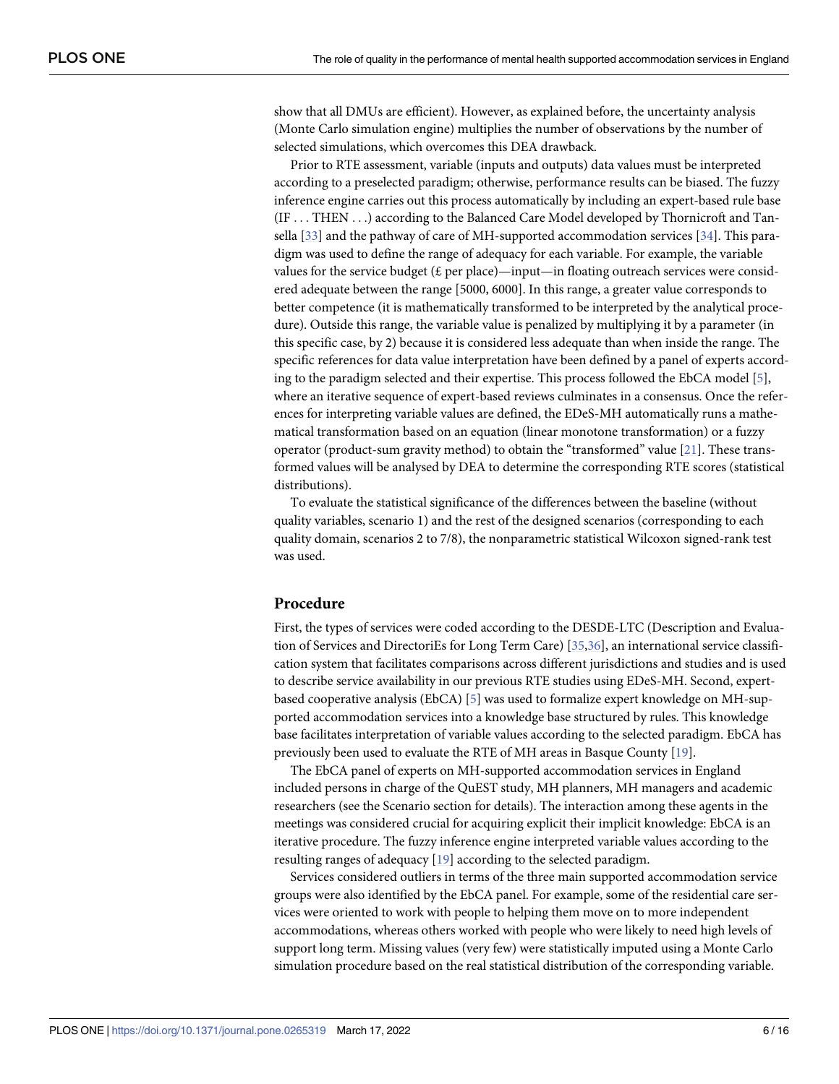<span id="page-5-0"></span>show that all DMUs are efficient). However, as explained before, the uncertainty analysis (Monte Carlo simulation engine) multiplies the number of observations by the number of selected simulations, which overcomes this DEA drawback.

Prior to RTE assessment, variable (inputs and outputs) data values must be interpreted according to a preselected paradigm; otherwise, performance results can be biased. The fuzzy inference engine carries out this process automatically by including an expert-based rule base (IF ... THEN ...) according to the Balanced Care Model developed by Thornicroft and Tansella [[33](#page-15-0)] and the pathway of care of MH-supported accommodation services [\[34\]](#page-15-0). This paradigm was used to define the range of adequacy for each variable. For example, the variable values for the service budget ( $\pounds$  per place)—input—in floating outreach services were considered adequate between the range [5000, 6000]. In this range, a greater value corresponds to better competence (it is mathematically transformed to be interpreted by the analytical procedure). Outside this range, the variable value is penalized by multiplying it by a parameter (in this specific case, by 2) because it is considered less adequate than when inside the range. The specific references for data value interpretation have been defined by a panel of experts according to the paradigm selected and their expertise. This process followed the EbCA model [[5](#page-13-0)], where an iterative sequence of expert-based reviews culminates in a consensus. Once the references for interpreting variable values are defined, the EDeS-MH automatically runs a mathematical transformation based on an equation (linear monotone transformation) or a fuzzy operator (product-sum gravity method) to obtain the "transformed" value [\[21\]](#page-14-0). These transformed values will be analysed by DEA to determine the corresponding RTE scores (statistical distributions).

To evaluate the statistical significance of the differences between the baseline (without quality variables, scenario 1) and the rest of the designed scenarios (corresponding to each quality domain, scenarios 2 to 7/8), the nonparametric statistical Wilcoxon signed-rank test was used.

#### **Procedure**

First, the types of services were coded according to the DESDE-LTC (Description and Evaluation of Services and DirectoriEs for Long Term Care) [\[35,36\]](#page-15-0), an international service classification system that facilitates comparisons across different jurisdictions and studies and is used to describe service availability in our previous RTE studies using EDeS-MH. Second, expertbased cooperative analysis (EbCA) [\[5\]](#page-13-0) was used to formalize expert knowledge on MH-supported accommodation services into a knowledge base structured by rules. This knowledge base facilitates interpretation of variable values according to the selected paradigm. EbCA has previously been used to evaluate the RTE of MH areas in Basque County [\[19\]](#page-14-0).

The EbCA panel of experts on MH-supported accommodation services in England included persons in charge of the QuEST study, MH planners, MH managers and academic researchers (see the Scenario section for details). The interaction among these agents in the meetings was considered crucial for acquiring explicit their implicit knowledge: EbCA is an iterative procedure. The fuzzy inference engine interpreted variable values according to the resulting ranges of adequacy [[19](#page-14-0)] according to the selected paradigm.

Services considered outliers in terms of the three main supported accommodation service groups were also identified by the EbCA panel. For example, some of the residential care services were oriented to work with people to helping them move on to more independent accommodations, whereas others worked with people who were likely to need high levels of support long term. Missing values (very few) were statistically imputed using a Monte Carlo simulation procedure based on the real statistical distribution of the corresponding variable.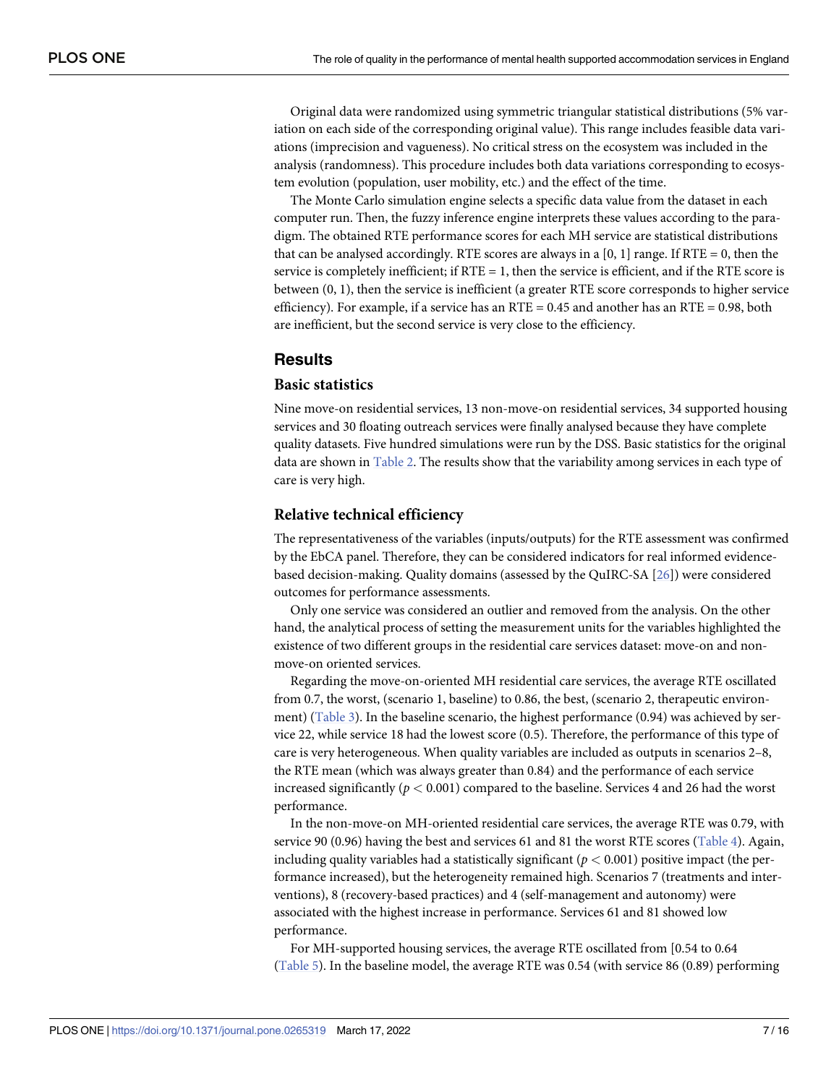<span id="page-6-0"></span>Original data were randomized using symmetric triangular statistical distributions (5% variation on each side of the corresponding original value). This range includes feasible data variations (imprecision and vagueness). No critical stress on the ecosystem was included in the analysis (randomness). This procedure includes both data variations corresponding to ecosystem evolution (population, user mobility, etc.) and the effect of the time.

The Monte Carlo simulation engine selects a specific data value from the dataset in each computer run. Then, the fuzzy inference engine interprets these values according to the paradigm. The obtained RTE performance scores for each MH service are statistical distributions that can be analysed accordingly. RTE scores are always in a [0, 1] range. If RTE = 0, then the service is completely inefficient; if  $RTE = 1$ , then the service is efficient, and if the RTE score is between (0, 1), then the service is inefficient (a greater RTE score corresponds to higher service efficiency). For example, if a service has an RTE =  $0.45$  and another has an RTE =  $0.98$ , both are inefficient, but the second service is very close to the efficiency.

## **Results**

#### **Basic statistics**

Nine move-on residential services, 13 non-move-on residential services, 34 supported housing services and 30 floating outreach services were finally analysed because they have complete quality datasets. Five hundred simulations were run by the DSS. Basic statistics for the original data are shown in [Table](#page-7-0) 2. The results show that the variability among services in each type of care is very high.

#### **Relative technical efficiency**

The representativeness of the variables (inputs/outputs) for the RTE assessment was confirmed by the EbCA panel. Therefore, they can be considered indicators for real informed evidencebased decision-making. Quality domains (assessed by the QuIRC-SA [\[26\]](#page-15-0)) were considered outcomes for performance assessments.

Only one service was considered an outlier and removed from the analysis. On the other hand, the analytical process of setting the measurement units for the variables highlighted the existence of two different groups in the residential care services dataset: move-on and nonmove-on oriented services.

Regarding the move-on-oriented MH residential care services, the average RTE oscillated from 0.7, the worst, (scenario 1, baseline) to 0.86, the best, (scenario 2, therapeutic environ-ment) ([Table](#page-7-0) 3). In the baseline scenario, the highest performance (0.94) was achieved by service 22, while service 18 had the lowest score (0.5). Therefore, the performance of this type of care is very heterogeneous. When quality variables are included as outputs in scenarios 2–8, the RTE mean (which was always greater than 0.84) and the performance of each service increased significantly  $(p < 0.001)$  compared to the baseline. Services 4 and 26 had the worst performance.

In the non-move-on MH-oriented residential care services, the average RTE was 0.79, with service 90 (0.96) having the best and services 61 and 81 the worst RTE scores [\(Table](#page-8-0) 4). Again, including quality variables had a statistically significant ( $p < 0.001$ ) positive impact (the performance increased), but the heterogeneity remained high. Scenarios 7 (treatments and interventions), 8 (recovery-based practices) and 4 (self-management and autonomy) were associated with the highest increase in performance. Services 61 and 81 showed low performance.

For MH-supported housing services, the average RTE oscillated from [0.54 to 0.64 [\(Table](#page-9-0) 5). In the baseline model, the average RTE was 0.54 (with service 86 (0.89) performing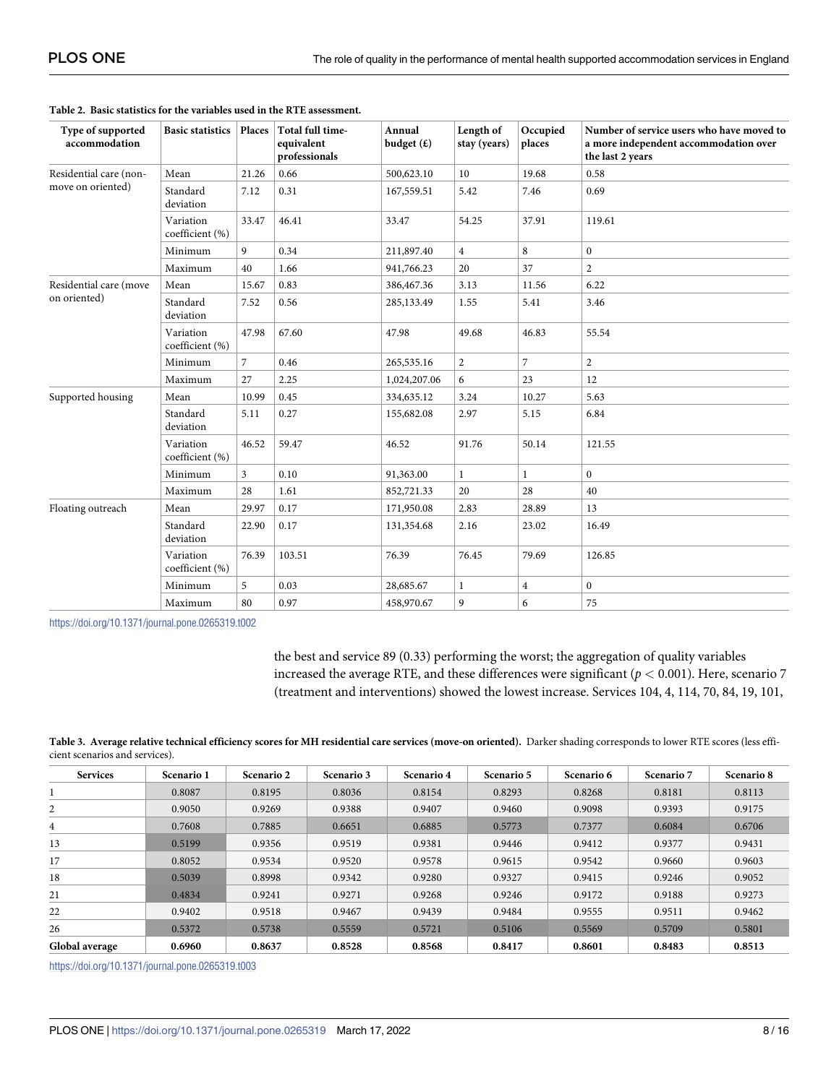| Type of supported<br>accommodation                                               | <b>Basic statistics</b>      | Places         | Total full time-<br>equivalent<br>professionals | Annual<br>budget $(f)$ | Length of<br>stay (years) | Occupied<br>places | Number of service users who have moved to<br>a more independent accommodation over<br>the last 2 years |
|----------------------------------------------------------------------------------|------------------------------|----------------|-------------------------------------------------|------------------------|---------------------------|--------------------|--------------------------------------------------------------------------------------------------------|
| Residential care (non-                                                           | Mean                         | 21.26          | 0.66                                            | 500,623.10             | 10                        | 19.68              | 0.58                                                                                                   |
| move on oriented)                                                                | Standard<br>deviation        | 7.12           | 0.31                                            | 167,559.51             | 5.42                      | 7.46               | 0.69                                                                                                   |
|                                                                                  | Variation<br>coefficient (%) | 33.47          | 46.41                                           | 33.47                  | 54.25                     | 37.91              | 119.61                                                                                                 |
|                                                                                  | Minimum                      | 9              | 0.34                                            | 211,897.40             | $\overline{4}$            | 8                  | $\boldsymbol{0}$                                                                                       |
|                                                                                  | Maximum                      | 40             | 1.66                                            | 941,766.23             | 20                        | 37                 | $\overline{2}$                                                                                         |
| Residential care (move<br>on oriented)<br>Supported housing<br>Floating outreach | Mean                         | 15.67          | 0.83                                            | 386,467.36             | 3.13                      | 11.56              | 6.22                                                                                                   |
|                                                                                  | Standard<br>deviation        | 7.52           | 0.56                                            | 285,133.49             | 1.55                      | 5.41               | 3.46                                                                                                   |
|                                                                                  | Variation<br>coefficient (%) | 47.98          | 67.60                                           | 47.98                  | 49.68                     | 46.83              | 55.54                                                                                                  |
|                                                                                  | Minimum                      | $\overline{7}$ | 0.46                                            | 265,535.16             | $\overline{2}$            | $\overline{7}$     | $\overline{c}$                                                                                         |
|                                                                                  | Maximum                      | 27             | 2.25                                            | 1,024,207.06           | 6                         | 23                 | 12                                                                                                     |
|                                                                                  | Mean                         | 10.99          | 0.45                                            | 334,635.12             | 3.24                      | 10.27              | 5.63                                                                                                   |
|                                                                                  | Standard<br>deviation        | 5.11           | 0.27                                            | 155,682.08             | 2.97                      | 5.15               | 6.84                                                                                                   |
|                                                                                  | Variation<br>coefficient (%) | 46.52          | 59.47                                           | 46.52                  | 91.76                     | 50.14              | 121.55                                                                                                 |
|                                                                                  | Minimum                      | $\mathfrak{Z}$ | 0.10                                            | 91,363.00              | 1                         | $\mathbf{1}$       | $\overline{0}$                                                                                         |
|                                                                                  | Maximum                      | 28             | 1.61                                            | 852,721.33             | 20                        | 28                 | 40                                                                                                     |
|                                                                                  | Mean                         | 29.97          | 0.17                                            | 171,950.08             | 2.83                      | 28.89              | 13                                                                                                     |
|                                                                                  | Standard<br>deviation        | 22.90          | 0.17                                            | 131,354.68             | 2.16                      | 23.02              | 16.49                                                                                                  |
|                                                                                  | Variation<br>coefficient (%) | 76.39          | 103.51                                          | 76.39                  | 76.45                     | 79.69              | 126.85                                                                                                 |
|                                                                                  | Minimum                      | 5              | 0.03                                            | 28,685.67              | 1                         | $\overline{4}$     | $\mathbf{0}$                                                                                           |
|                                                                                  | Maximum                      | 80             | 0.97                                            | 458,970.67             | 9                         | 6                  | 75                                                                                                     |

<span id="page-7-0"></span>

| Table 2. Basic statistics for the variables used in the RTE assessment. |  |
|-------------------------------------------------------------------------|--|
|-------------------------------------------------------------------------|--|

the best and service 89 (0.33) performing the worst; the aggregation of quality variables increased the average RTE, and these differences were significant ( $p < 0.001$ ). Here, scenario 7 (treatment and interventions) showed the lowest increase. Services 104, 4, 114, 70, 84, 19, 101,

[Table](#page-6-0) 3. Average relative technical efficiency scores for MH residential care services (move-on oriented). Darker shading corresponds to lower RTE scores (less efficient scenarios and services).

| <b>Services</b> | Scenario 1 | Scenario 2 | Scenario 3 | Scenario 4 | Scenario 5 | Scenario 6 | Scenario 7 | Scenario 8 |
|-----------------|------------|------------|------------|------------|------------|------------|------------|------------|
|                 | 0.8087     | 0.8195     | 0.8036     | 0.8154     | 0.8293     | 0.8268     | 0.8181     | 0.8113     |
| 2               | 0.9050     | 0.9269     | 0.9388     | 0.9407     | 0.9460     | 0.9098     | 0.9393     | 0.9175     |
| 4               | 0.7608     | 0.7885     | 0.6651     | 0.6885     | 0.5773     | 0.7377     | 0.6084     | 0.6706     |
| 13              | 0.5199     | 0.9356     | 0.9519     | 0.9381     | 0.9446     | 0.9412     | 0.9377     | 0.9431     |
| 17              | 0.8052     | 0.9534     | 0.9520     | 0.9578     | 0.9615     | 0.9542     | 0.9660     | 0.9603     |
| 18              | 0.5039     | 0.8998     | 0.9342     | 0.9280     | 0.9327     | 0.9415     | 0.9246     | 0.9052     |
| 21              | 0.4834     | 0.9241     | 0.9271     | 0.9268     | 0.9246     | 0.9172     | 0.9188     | 0.9273     |
| 22              | 0.9402     | 0.9518     | 0.9467     | 0.9439     | 0.9484     | 0.9555     | 0.9511     | 0.9462     |
| 26              | 0.5372     | 0.5738     | 0.5559     | 0.5721     | 0.5106     | 0.5569     | 0.5709     | 0.5801     |
| Global average  | 0.6960     | 0.8637     | 0.8528     | 0.8568     | 0.8417     | 0.8601     | 0.8483     | 0.8513     |

<https://doi.org/10.1371/journal.pone.0265319.t003>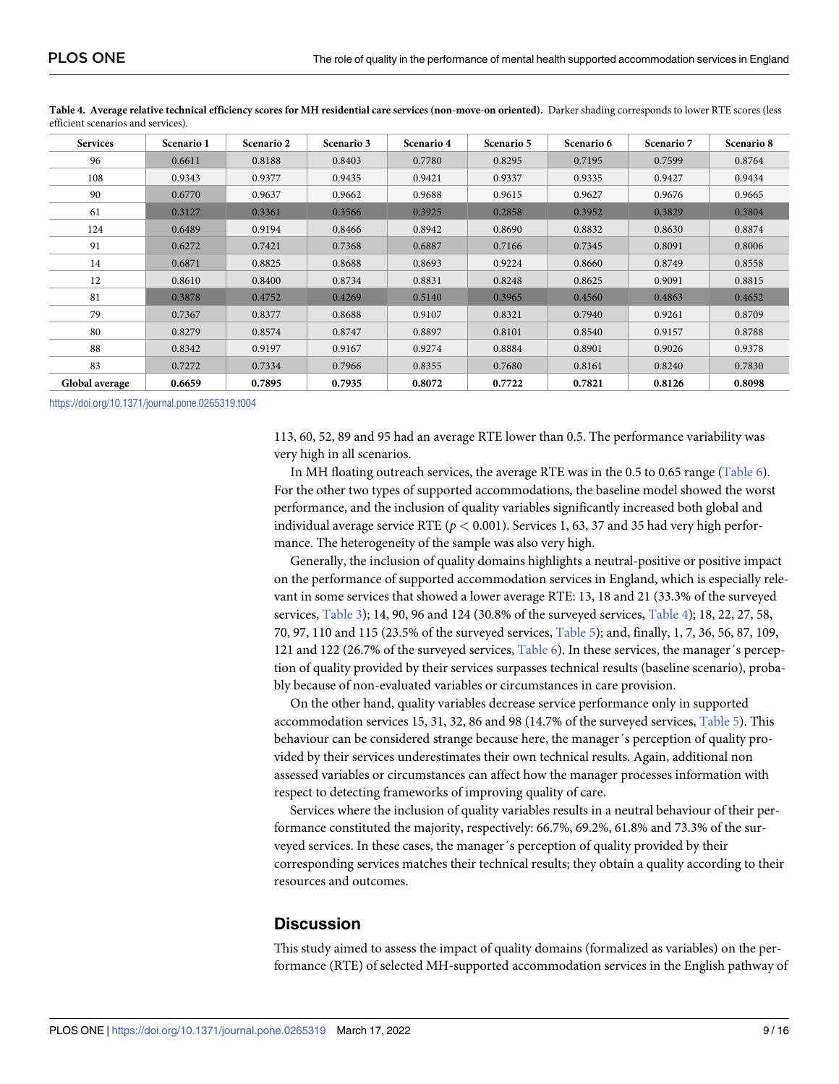| <b>Services</b> | Scenario 1 | Scenario 2 | Scenario 3 | Scenario 4 | Scenario 5 | Scenario 6 | Scenario 7 | Scenario 8 |
|-----------------|------------|------------|------------|------------|------------|------------|------------|------------|
| 96              | 0.6611     | 0.8188     | 0.8403     | 0.7780     | 0.8295     | 0.7195     | 0.7599     | 0.8764     |
| 108             | 0.9343     | 0.9377     | 0.9435     | 0.9421     | 0.9337     | 0.9335     | 0.9427     | 0.9434     |
| 90              | 0.6770     | 0.9637     | 0.9662     | 0.9688     | 0.9615     | 0.9627     | 0.9676     | 0.9665     |
| 61              | 0.3127     | 0.3361     | 0.3566     | 0.3925     | 0.2858     | 0.3952     | 0.3829     | 0.3804     |
| 124             | 0.6489     | 0.9194     | 0.8466     | 0.8942     | 0.8690     | 0.8832     | 0.8630     | 0.8874     |
| 91              | 0.6272     | 0.7421     | 0.7368     | 0.6887     | 0.7166     | 0.7345     | 0.8091     | 0.8006     |
| 14              | 0.6871     | 0.8825     | 0.8688     | 0.8693     | 0.9224     | 0.8660     | 0.8749     | 0.8558     |
| 12              | 0.8610     | 0.8400     | 0.8734     | 0.8831     | 0.8248     | 0.8625     | 0.9091     | 0.8815     |
| 81              | 0.3878     | 0.4752     | 0.4269     | 0.5140     | 0.3965     | 0.4560     | 0.4863     | 0.4652     |
| 79              | 0.7367     | 0.8377     | 0.8688     | 0.9107     | 0.8321     | 0.7940     | 0.9261     | 0.8709     |
| 80              | 0.8279     | 0.8574     | 0.8747     | 0.8897     | 0.8101     | 0.8540     | 0.9157     | 0.8788     |
| 88              | 0.8342     | 0.9197     | 0.9167     | 0.9274     | 0.8884     | 0.8901     | 0.9026     | 0.9378     |
| 83              | 0.7272     | 0.7334     | 0.7966     | 0.8355     | 0.7680     | 0.8161     | 0.8240     | 0.7830     |
| Global average  | 0.6659     | 0.7895     | 0.7935     | 0.8072     | 0.7722     | 0.7821     | 0.8126     | 0.8098     |

<span id="page-8-0"></span>[Table](#page-6-0) 4. Average relative technical efficiency scores for MH residential care services (non-move-on oriented). Darker shading corresponds to lower RTE scores (less efficient scenarios and services).

113, 60, 52, 89 and 95 had an average RTE lower than 0.5. The performance variability was very high in all scenarios.

In MH floating outreach services, the average RTE was in the 0.5 to 0.65 range [\(Table](#page-10-0) 6). For the other two types of supported accommodations, the baseline model showed the worst performance, and the inclusion of quality variables significantly increased both global and individual average service RTE ( $p < 0.001$ ). Services 1, 63, 37 and 35 had very high performance. The heterogeneity of the sample was also very high.

Generally, the inclusion of quality domains highlights a neutral-positive or positive impact on the performance of supported accommodation services in England, which is especially relevant in some services that showed a lower average RTE: 13, 18 and 21 (33.3% of the surveyed services, [Table](#page-7-0) 3); 14, 90, 96 and 124 (30.8% of the surveyed services, Table 4); 18, 22, 27, 58, 70, 97, 110 and 115 (23.5% of the surveyed services, [Table](#page-9-0) 5); and, finally, 1, 7, 36, 56, 87, 109, 121 and 122 (26.7% of the surveyed services, [Table](#page-10-0) 6). In these services, the manager´s perception of quality provided by their services surpasses technical results (baseline scenario), probably because of non-evaluated variables or circumstances in care provision.

On the other hand, quality variables decrease service performance only in supported accommodation services 15, 31, 32, 86 and 98 (14.7% of the surveyed services, [Table](#page-9-0) 5). This behaviour can be considered strange because here, the manager´s perception of quality provided by their services underestimates their own technical results. Again, additional non assessed variables or circumstances can affect how the manager processes information with respect to detecting frameworks of improving quality of care.

Services where the inclusion of quality variables results in a neutral behaviour of their performance constituted the majority, respectively: 66.7%, 69.2%, 61.8% and 73.3% of the surveyed services. In these cases, the manager´s perception of quality provided by their corresponding services matches their technical results; they obtain a quality according to their resources and outcomes.

# **Discussion**

This study aimed to assess the impact of quality domains (formalized as variables) on the performance (RTE) of selected MH-supported accommodation services in the English pathway of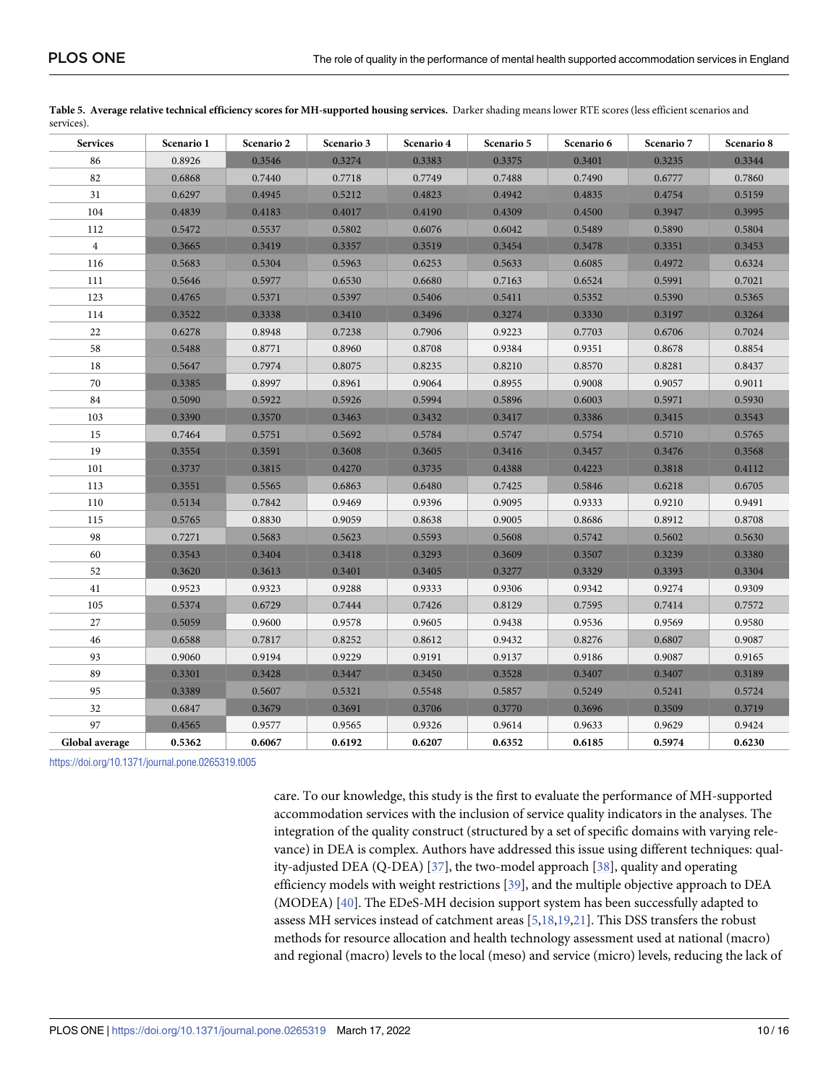| <b>Services</b> | Scenario 1 | Scenario 2 | Scenario 3 | Scenario 4 | Scenario 5 | Scenario 6 | Scenario 7 | Scenario 8 |
|-----------------|------------|------------|------------|------------|------------|------------|------------|------------|
| 86              | 0.8926     | 0.3546     | 0.3274     | 0.3383     | 0.3375     | 0.3401     | 0.3235     | 0.3344     |
| 82              | 0.6868     | 0.7440     | 0.7718     | 0.7749     | 0.7488     | 0.7490     | 0.6777     | 0.7860     |
| 31              | 0.6297     | 0.4945     | 0.5212     | 0.4823     | 0.4942     | 0.4835     | 0.4754     | 0.5159     |
| 104             | 0.4839     | 0.4183     | 0.4017     | 0.4190     | 0.4309     | 0.4500     | 0.3947     | 0.3995     |
| 112             | 0.5472     | 0.5537     | 0.5802     | 0.6076     | 0.6042     | 0.5489     | 0.5890     | 0.5804     |
| $\overline{4}$  | 0.3665     | 0.3419     | 0.3357     | 0.3519     | 0.3454     | 0.3478     | 0.3351     | 0.3453     |
| 116             | 0.5683     | 0.5304     | 0.5963     | 0.6253     | 0.5633     | 0.6085     | 0.4972     | 0.6324     |
| 111             | 0.5646     | 0.5977     | 0.6530     | 0.6680     | 0.7163     | 0.6524     | 0.5991     | 0.7021     |
| 123             | 0.4765     | 0.5371     | 0.5397     | 0.5406     | 0.5411     | 0.5352     | 0.5390     | 0.5365     |
| 114             | 0.3522     | 0.3338     | 0.3410     | 0.3496     | 0.3274     | 0.3330     | 0.3197     | 0.3264     |
| 22              | 0.6278     | 0.8948     | 0.7238     | 0.7906     | 0.9223     | 0.7703     | 0.6706     | 0.7024     |
| 58              | 0.5488     | 0.8771     | 0.8960     | 0.8708     | 0.9384     | 0.9351     | 0.8678     | 0.8854     |
| 18              | 0.5647     | 0.7974     | 0.8075     | 0.8235     | 0.8210     | 0.8570     | 0.8281     | 0.8437     |
| 70              | 0.3385     | 0.8997     | 0.8961     | 0.9064     | 0.8955     | 0.9008     | 0.9057     | 0.9011     |
| 84              | 0.5090     | 0.5922     | 0.5926     | 0.5994     | 0.5896     | 0.6003     | 0.5971     | 0.5930     |
| 103             | 0.3390     | 0.3570     | 0.3463     | 0.3432     | 0.3417     | 0.3386     | 0.3415     | 0.3543     |
| 15              | 0.7464     | 0.5751     | 0.5692     | 0.5784     | 0.5747     | 0.5754     | 0.5710     | 0.5765     |
| 19              | 0.3554     | 0.3591     | 0.3608     | 0.3605     | 0.3416     | 0.3457     | 0.3476     | 0.3568     |
| 101             | 0.3737     | 0.3815     | 0.4270     | 0.3735     | 0.4388     | 0.4223     | 0.3818     | 0.4112     |
| 113             | 0.3551     | 0.5565     | 0.6863     | 0.6480     | 0.7425     | 0.5846     | 0.6218     | 0.6705     |
| 110             | 0.5134     | 0.7842     | 0.9469     | 0.9396     | 0.9095     | 0.9333     | 0.9210     | 0.9491     |
| 115             | 0.5765     | 0.8830     | 0.9059     | 0.8638     | 0.9005     | 0.8686     | 0.8912     | 0.8708     |
| 98              | 0.7271     | 0.5683     | 0.5623     | 0.5593     | 0.5608     | 0.5742     | 0.5602     | 0.5630     |
| 60              | 0.3543     | 0.3404     | 0.3418     | 0.3293     | 0.3609     | 0.3507     | 0.3239     | 0.3380     |
| 52              | 0.3620     | 0.3613     | 0.3401     | 0.3405     | 0.3277     | 0.3329     | 0.3393     | 0.3304     |
| 41              | 0.9523     | 0.9323     | 0.9288     | 0.9333     | 0.9306     | 0.9342     | 0.9274     | 0.9309     |
| 105             | 0.5374     | 0.6729     | 0.7444     | 0.7426     | 0.8129     | 0.7595     | 0.7414     | 0.7572     |
| 27              | 0.5059     | 0.9600     | 0.9578     | 0.9605     | 0.9438     | 0.9536     | 0.9569     | 0.9580     |
| 46              | 0.6588     | 0.7817     | 0.8252     | 0.8612     | 0.9432     | 0.8276     | 0.6807     | 0.9087     |
| 93              | 0.9060     | 0.9194     | 0.9229     | 0.9191     | 0.9137     | 0.9186     | 0.9087     | 0.9165     |
| 89              | 0.3301     | 0.3428     | 0.3447     | 0.3450     | 0.3528     | 0.3407     | 0.3407     | 0.3189     |
| 95              | 0.3389     | 0.5607     | 0.5321     | 0.5548     | 0.5857     | 0.5249     | 0.5241     | 0.5724     |
| 32              | 0.6847     | 0.3679     | 0.3691     | 0.3706     | 0.3770     | 0.3696     | 0.3509     | 0.3719     |
| 97              | 0.4565     | 0.9577     | 0.9565     | 0.9326     | 0.9614     | 0.9633     | 0.9629     | 0.9424     |
| Global average  | 0.5362     | 0.6067     | 0.6192     | 0.6207     | 0.6352     | 0.6185     | 0.5974     | 0.6230     |

<span id="page-9-0"></span>

| Table 5. Average relative technical efficiency scores for MH-supported housing services. Darker shading means lower RTE scores (less efficient scenarios and |  |
|--------------------------------------------------------------------------------------------------------------------------------------------------------------|--|
| services).                                                                                                                                                   |  |

care. To our knowledge, this study is the first to evaluate the performance of MH-supported accommodation services with the inclusion of service quality indicators in the analyses. The integration of the quality construct (structured by a set of specific domains with varying relevance) in DEA is complex. Authors have addressed this issue using different techniques: quality-adjusted DEA (Q-DEA) [[37](#page-15-0)], the two-model approach [[38](#page-15-0)], quality and operating efficiency models with weight restrictions [[39](#page-15-0)], and the multiple objective approach to DEA (MODEA) [[40](#page-15-0)]. The EDeS-MH decision support system has been successfully adapted to assess MH services instead of catchment areas [\[5,](#page-13-0)[18,19](#page-14-0),[21\]](#page-14-0). This DSS transfers the robust methods for resource allocation and health technology assessment used at national (macro) and regional (macro) levels to the local (meso) and service (micro) levels, reducing the lack of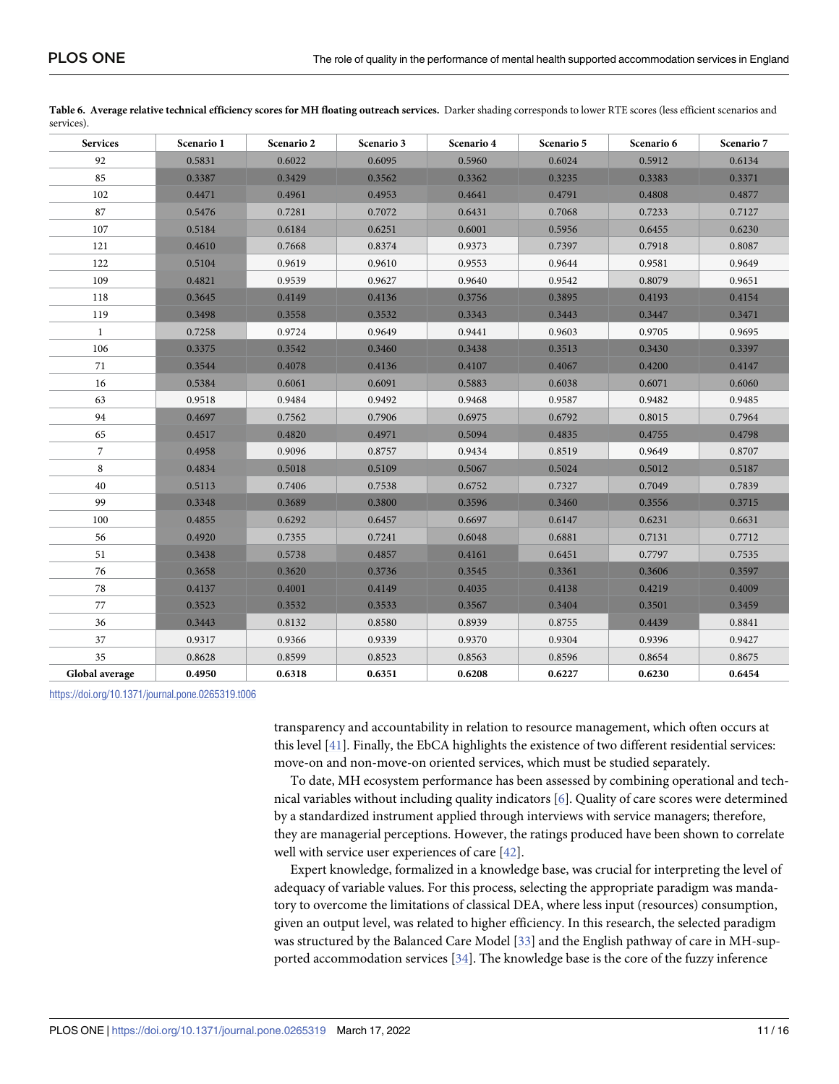| <b>Services</b> | Scenario 1 | Scenario 2 | Scenario 3 | Scenario 4 | Scenario 5 | Scenario 6 | Scenario 7 |
|-----------------|------------|------------|------------|------------|------------|------------|------------|
| 92              | 0.5831     | 0.6022     | 0.6095     | 0.5960     | 0.6024     | 0.5912     | 0.6134     |
| 85              | 0.3387     | 0.3429     | 0.3562     | 0.3362     | 0.3235     | 0.3383     | 0.3371     |
| 102             | 0.4471     | 0.4961     | 0.4953     | 0.4641     | 0.4791     | 0.4808     | 0.4877     |
| 87              | 0.5476     | 0.7281     | 0.7072     | 0.6431     | 0.7068     | 0.7233     | 0.7127     |
| 107             | 0.5184     | 0.6184     | 0.6251     | 0.6001     | 0.5956     | 0.6455     | 0.6230     |
| 121             | 0.4610     | 0.7668     | 0.8374     | 0.9373     | 0.7397     | 0.7918     | 0.8087     |
| 122             | 0.5104     | 0.9619     | 0.9610     | 0.9553     | 0.9644     | 0.9581     | 0.9649     |
| 109             | 0.4821     | 0.9539     | 0.9627     | 0.9640     | 0.9542     | 0.8079     | 0.9651     |
| 118             | 0.3645     | 0.4149     | 0.4136     | 0.3756     | 0.3895     | 0.4193     | 0.4154     |
| 119             | 0.3498     | 0.3558     | 0.3532     | 0.3343     | 0.3443     | 0.3447     | 0.3471     |
| $\mathbf{1}$    | 0.7258     | 0.9724     | 0.9649     | 0.9441     | 0.9603     | 0.9705     | 0.9695     |
| 106             | 0.3375     | 0.3542     | 0.3460     | 0.3438     | 0.3513     | 0.3430     | 0.3397     |
| 71              | 0.3544     | 0.4078     | 0.4136     | 0.4107     | 0.4067     | 0.4200     | 0.4147     |
| 16              | 0.5384     | 0.6061     | 0.6091     | 0.5883     | 0.6038     | 0.6071     | 0.6060     |
| 63              | 0.9518     | 0.9484     | 0.9492     | 0.9468     | 0.9587     | 0.9482     | 0.9485     |
| 94              | 0.4697     | 0.7562     | 0.7906     | 0.6975     | 0.6792     | 0.8015     | 0.7964     |
| 65              | 0.4517     | 0.4820     | 0.4971     | 0.5094     | 0.4835     | 0.4755     | 0.4798     |
| $\overline{7}$  | 0.4958     | 0.9096     | 0.8757     | 0.9434     | 0.8519     | 0.9649     | 0.8707     |
| 8               | 0.4834     | 0.5018     | 0.5109     | 0.5067     | 0.5024     | 0.5012     | 0.5187     |
| 40              | 0.5113     | 0.7406     | 0.7538     | 0.6752     | 0.7327     | 0.7049     | 0.7839     |
| 99              | 0.3348     | 0.3689     | 0.3800     | 0.3596     | 0.3460     | 0.3556     | 0.3715     |
| 100             | 0.4855     | 0.6292     | 0.6457     | 0.6697     | 0.6147     | 0.6231     | 0.6631     |
| 56              | 0.4920     | 0.7355     | 0.7241     | 0.6048     | 0.6881     | 0.7131     | 0.7712     |
| 51              | 0.3438     | 0.5738     | 0.4857     | 0.4161     | 0.6451     | 0.7797     | 0.7535     |
| 76              | 0.3658     | 0.3620     | 0.3736     | 0.3545     | 0.3361     | 0.3606     | 0.3597     |
| 78              | 0.4137     | 0.4001     | 0.4149     | 0.4035     | 0.4138     | 0.4219     | 0.4009     |
| 77              | 0.3523     | 0.3532     | 0.3533     | 0.3567     | 0.3404     | 0.3501     | 0.3459     |
| 36              | 0.3443     | 0.8132     | 0.8580     | 0.8939     | 0.8755     | 0.4439     | 0.8841     |
| 37              | 0.9317     | 0.9366     | 0.9339     | 0.9370     | 0.9304     | 0.9396     | 0.9427     |
| 35              | 0.8628     | 0.8599     | 0.8523     | 0.8563     | 0.8596     | 0.8654     | 0.8675     |
| Global average  | 0.4950     | 0.6318     | 0.6351     | 0.6208     | 0.6227     | 0.6230     | 0.6454     |

<span id="page-10-0"></span>

|            | Table 6. Average relative technical efficiency scores for MH floating outreach services. Darker shading corresponds to lower RTE scores (less efficient scenarios and |  |
|------------|-----------------------------------------------------------------------------------------------------------------------------------------------------------------------|--|
| services). |                                                                                                                                                                       |  |

transparency and accountability in relation to resource management, which often occurs at this level [\[41\]](#page-15-0). Finally, the EbCA highlights the existence of two different residential services: move-on and non-move-on oriented services, which must be studied separately.

To date, MH ecosystem performance has been assessed by combining operational and technical variables without including quality indicators [[6](#page-14-0)]. Quality of care scores were determined by a standardized instrument applied through interviews with service managers; therefore, they are managerial perceptions. However, the ratings produced have been shown to correlate well with service user experiences of care [[42](#page-15-0)].

Expert knowledge, formalized in a knowledge base, was crucial for interpreting the level of adequacy of variable values. For this process, selecting the appropriate paradigm was mandatory to overcome the limitations of classical DEA, where less input (resources) consumption, given an output level, was related to higher efficiency. In this research, the selected paradigm was structured by the Balanced Care Model [\[33\]](#page-15-0) and the English pathway of care in MH-supported accommodation services [[34\]](#page-15-0). The knowledge base is the core of the fuzzy inference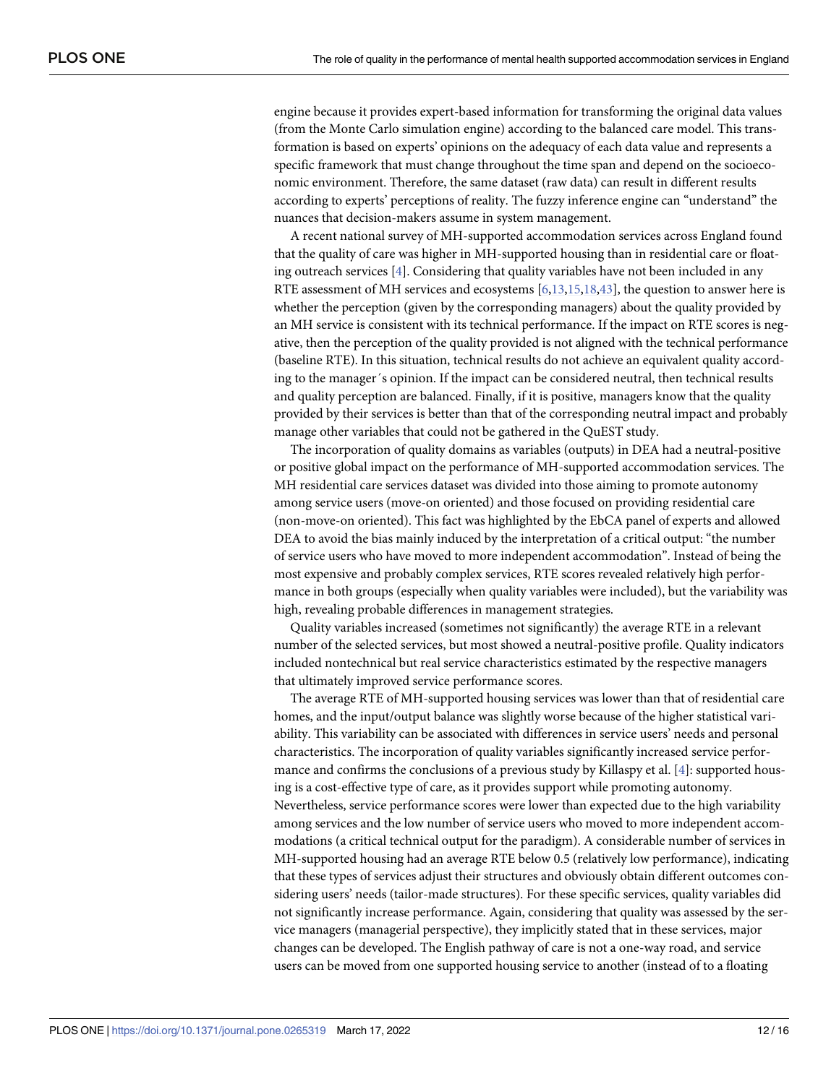<span id="page-11-0"></span>engine because it provides expert-based information for transforming the original data values (from the Monte Carlo simulation engine) according to the balanced care model. This transformation is based on experts' opinions on the adequacy of each data value and represents a specific framework that must change throughout the time span and depend on the socioeconomic environment. Therefore, the same dataset (raw data) can result in different results according to experts' perceptions of reality. The fuzzy inference engine can "understand" the nuances that decision-makers assume in system management.

A recent national survey of MH-supported accommodation services across England found that the quality of care was higher in MH-supported housing than in residential care or floating outreach services [[4\]](#page-13-0). Considering that quality variables have not been included in any RTE assessment of MH services and ecosystems [[6](#page-14-0),[13,15,18,](#page-14-0)[43](#page-15-0)], the question to answer here is whether the perception (given by the corresponding managers) about the quality provided by an MH service is consistent with its technical performance. If the impact on RTE scores is negative, then the perception of the quality provided is not aligned with the technical performance (baseline RTE). In this situation, technical results do not achieve an equivalent quality according to the manager´s opinion. If the impact can be considered neutral, then technical results and quality perception are balanced. Finally, if it is positive, managers know that the quality provided by their services is better than that of the corresponding neutral impact and probably manage other variables that could not be gathered in the QuEST study.

The incorporation of quality domains as variables (outputs) in DEA had a neutral-positive or positive global impact on the performance of MH-supported accommodation services. The MH residential care services dataset was divided into those aiming to promote autonomy among service users (move-on oriented) and those focused on providing residential care (non-move-on oriented). This fact was highlighted by the EbCA panel of experts and allowed DEA to avoid the bias mainly induced by the interpretation of a critical output: "the number of service users who have moved to more independent accommodation". Instead of being the most expensive and probably complex services, RTE scores revealed relatively high performance in both groups (especially when quality variables were included), but the variability was high, revealing probable differences in management strategies.

Quality variables increased (sometimes not significantly) the average RTE in a relevant number of the selected services, but most showed a neutral-positive profile. Quality indicators included nontechnical but real service characteristics estimated by the respective managers that ultimately improved service performance scores.

The average RTE of MH-supported housing services was lower than that of residential care homes, and the input/output balance was slightly worse because of the higher statistical variability. This variability can be associated with differences in service users' needs and personal characteristics. The incorporation of quality variables significantly increased service performance and confirms the conclusions of a previous study by Killaspy et al. [\[4](#page-13-0)]: supported housing is a cost-effective type of care, as it provides support while promoting autonomy. Nevertheless, service performance scores were lower than expected due to the high variability among services and the low number of service users who moved to more independent accommodations (a critical technical output for the paradigm). A considerable number of services in MH-supported housing had an average RTE below 0.5 (relatively low performance), indicating that these types of services adjust their structures and obviously obtain different outcomes considering users' needs (tailor-made structures). For these specific services, quality variables did not significantly increase performance. Again, considering that quality was assessed by the service managers (managerial perspective), they implicitly stated that in these services, major changes can be developed. The English pathway of care is not a one-way road, and service users can be moved from one supported housing service to another (instead of to a floating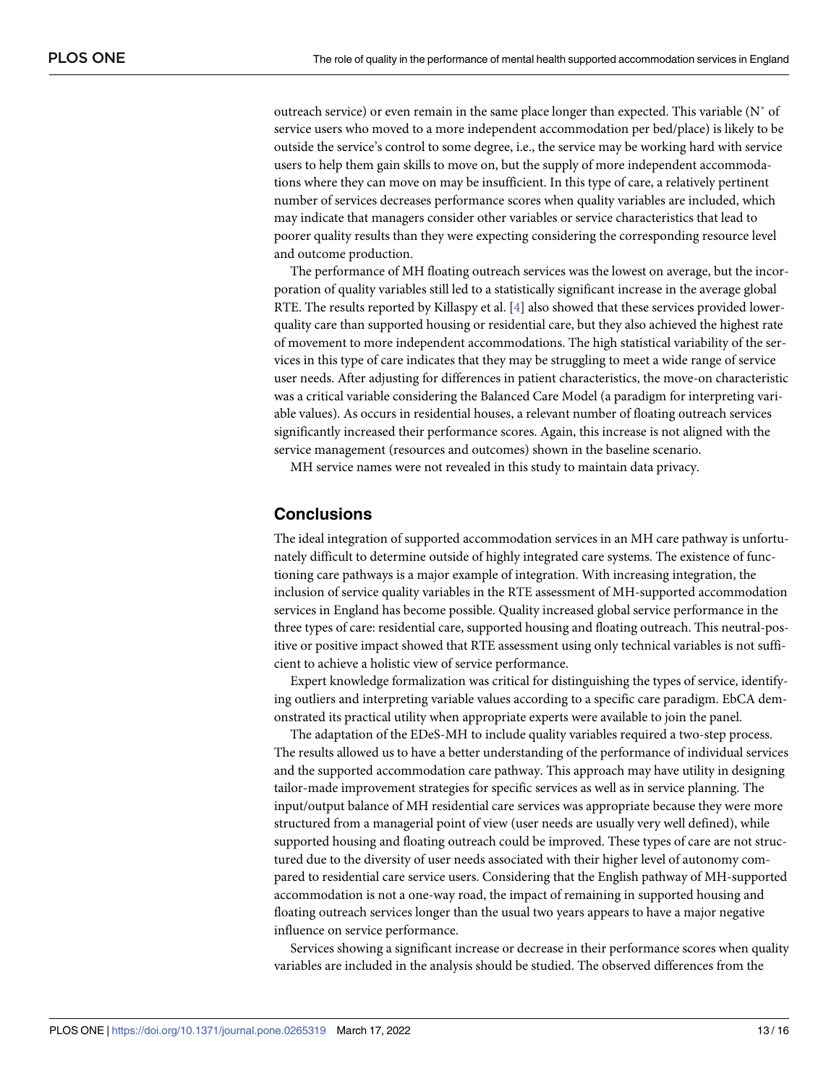outreach service) or even remain in the same place longer than expected. This variable (N˚ of service users who moved to a more independent accommodation per bed/place) is likely to be outside the service's control to some degree, i.e., the service may be working hard with service users to help them gain skills to move on, but the supply of more independent accommodations where they can move on may be insufficient. In this type of care, a relatively pertinent number of services decreases performance scores when quality variables are included, which may indicate that managers consider other variables or service characteristics that lead to poorer quality results than they were expecting considering the corresponding resource level and outcome production.

The performance of MH floating outreach services was the lowest on average, but the incorporation of quality variables still led to a statistically significant increase in the average global RTE. The results reported by Killaspy et al.  $[4]$  also showed that these services provided lowerquality care than supported housing or residential care, but they also achieved the highest rate of movement to more independent accommodations. The high statistical variability of the services in this type of care indicates that they may be struggling to meet a wide range of service user needs. After adjusting for differences in patient characteristics, the move-on characteristic was a critical variable considering the Balanced Care Model (a paradigm for interpreting variable values). As occurs in residential houses, a relevant number of floating outreach services significantly increased their performance scores. Again, this increase is not aligned with the service management (resources and outcomes) shown in the baseline scenario.

MH service names were not revealed in this study to maintain data privacy.

# **Conclusions**

The ideal integration of supported accommodation services in an MH care pathway is unfortunately difficult to determine outside of highly integrated care systems. The existence of functioning care pathways is a major example of integration. With increasing integration, the inclusion of service quality variables in the RTE assessment of MH-supported accommodation services in England has become possible. Quality increased global service performance in the three types of care: residential care, supported housing and floating outreach. This neutral-positive or positive impact showed that RTE assessment using only technical variables is not sufficient to achieve a holistic view of service performance.

Expert knowledge formalization was critical for distinguishing the types of service, identifying outliers and interpreting variable values according to a specific care paradigm. EbCA demonstrated its practical utility when appropriate experts were available to join the panel.

The adaptation of the EDeS-MH to include quality variables required a two-step process. The results allowed us to have a better understanding of the performance of individual services and the supported accommodation care pathway. This approach may have utility in designing tailor-made improvement strategies for specific services as well as in service planning. The input/output balance of MH residential care services was appropriate because they were more structured from a managerial point of view (user needs are usually very well defined), while supported housing and floating outreach could be improved. These types of care are not structured due to the diversity of user needs associated with their higher level of autonomy compared to residential care service users. Considering that the English pathway of MH-supported accommodation is not a one-way road, the impact of remaining in supported housing and floating outreach services longer than the usual two years appears to have a major negative influence on service performance.

Services showing a significant increase or decrease in their performance scores when quality variables are included in the analysis should be studied. The observed differences from the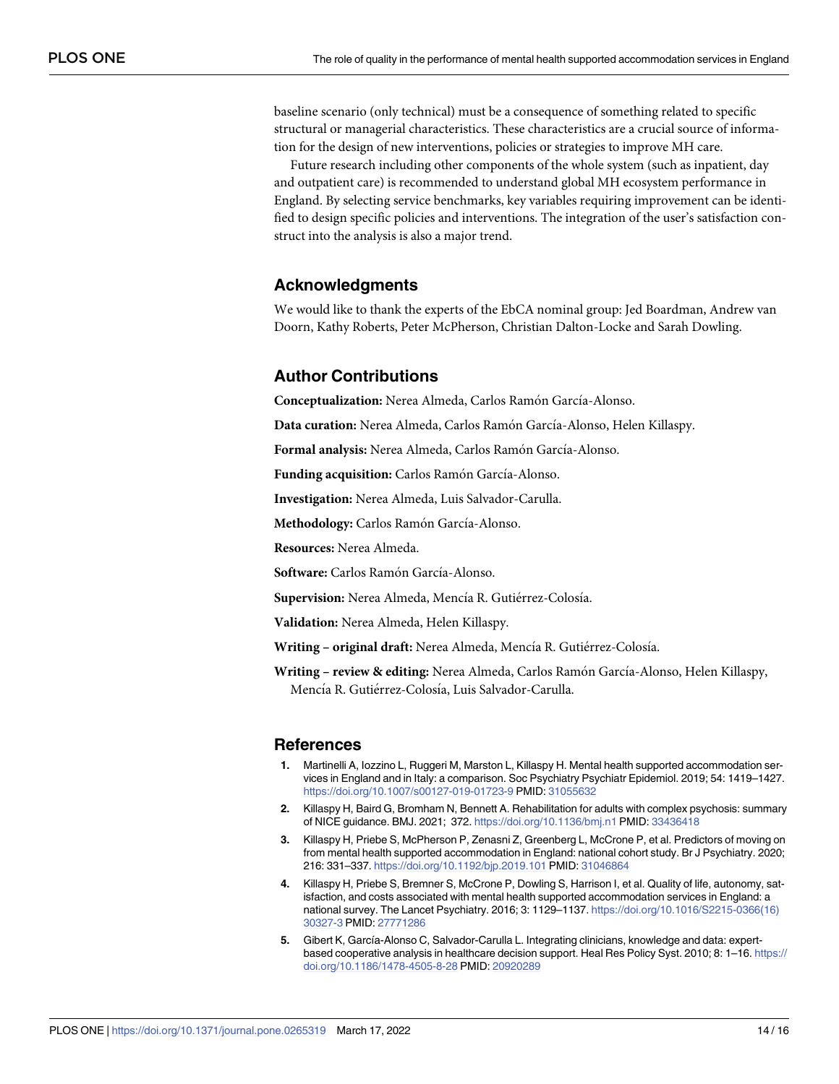<span id="page-13-0"></span>baseline scenario (only technical) must be a consequence of something related to specific structural or managerial characteristics. These characteristics are a crucial source of information for the design of new interventions, policies or strategies to improve MH care.

Future research including other components of the whole system (such as inpatient, day and outpatient care) is recommended to understand global MH ecosystem performance in England. By selecting service benchmarks, key variables requiring improvement can be identified to design specific policies and interventions. The integration of the user's satisfaction construct into the analysis is also a major trend.

# **Acknowledgments**

We would like to thank the experts of the EbCA nominal group: Jed Boardman, Andrew van Doorn, Kathy Roberts, Peter McPherson, Christian Dalton-Locke and Sarah Dowling.

# **Author Contributions**

**Conceptualization:** Nerea Almeda, Carlos Ramón García-Alonso.

Data curation: Nerea Almeda, Carlos Ramón García-Alonso, Helen Killaspy.

**Formal analysis:** Nerea Almeda, Carlos Ramón García-Alonso.

Funding acquisition: Carlos Ramón García-Alonso.

**Investigation:** Nerea Almeda, Luis Salvador-Carulla.

**Methodology:** Carlos Ramón García-Alonso.

**Resources:** Nerea Almeda.

**Software:** Carlos Ramón García-Alonso.

Supervision: Nerea Almeda, Mencía R. Gutiérrez-Colosía.

**Validation:** Nerea Almeda, Helen Killaspy.

Writing - original draft: Nerea Almeda, Mencía R. Gutiérrez-Colosía.

**Writing – review & editing:** Nerea Almeda, Carlos Ramo´n Garcı´a-Alonso, Helen Killaspy, Mencía R. Gutiérrez-Colosía, Luis Salvador-Carulla.

#### **References**

- **[1](#page-1-0).** Martinelli A, Iozzino L, Ruggeri M, Marston L, Killaspy H. Mental health supported accommodation services in England and in Italy: a comparison. Soc Psychiatry Psychiatr Epidemiol. 2019; 54: 1419–1427. <https://doi.org/10.1007/s00127-019-01723-9> PMID: [31055632](http://www.ncbi.nlm.nih.gov/pubmed/31055632)
- **[2](#page-1-0).** Killaspy H, Baird G, Bromham N, Bennett A. Rehabilitation for adults with complex psychosis: summary of NICE guidance. BMJ. 2021; 372. <https://doi.org/10.1136/bmj.n1> PMID: [33436418](http://www.ncbi.nlm.nih.gov/pubmed/33436418)
- **[3](#page-1-0).** Killaspy H, Priebe S, McPherson P, Zenasni Z, Greenberg L, McCrone P, et al. Predictors of moving on from mental health supported accommodation in England: national cohort study. Br J Psychiatry. 2020; 216: 331–337. <https://doi.org/10.1192/bjp.2019.101> PMID: [31046864](http://www.ncbi.nlm.nih.gov/pubmed/31046864)
- **[4](#page-2-0).** Killaspy H, Priebe S, Bremner S, McCrone P, Dowling S, Harrison I, et al. Quality of life, autonomy, satisfaction, and costs associated with mental health supported accommodation services in England: a national survey. The Lancet Psychiatry. 2016; 3: 1129–1137. [https://doi.org/10.1016/S2215-0366\(16\)](https://doi.org/10.1016/S2215-0366%2816%2930327-3) [30327-3](https://doi.org/10.1016/S2215-0366%2816%2930327-3) PMID: [27771286](http://www.ncbi.nlm.nih.gov/pubmed/27771286)
- **[5](#page-5-0).** Gibert K, García-Alonso C, Salvador-Carulla L. Integrating clinicians, knowledge and data: expertbased cooperative analysis in healthcare decision support. Heal Res Policy Syst. 2010; 8: 1–16. [https://](https://doi.org/10.1186/1478-4505-8-28) [doi.org/10.1186/1478-4505-8-28](https://doi.org/10.1186/1478-4505-8-28) PMID: [20920289](http://www.ncbi.nlm.nih.gov/pubmed/20920289)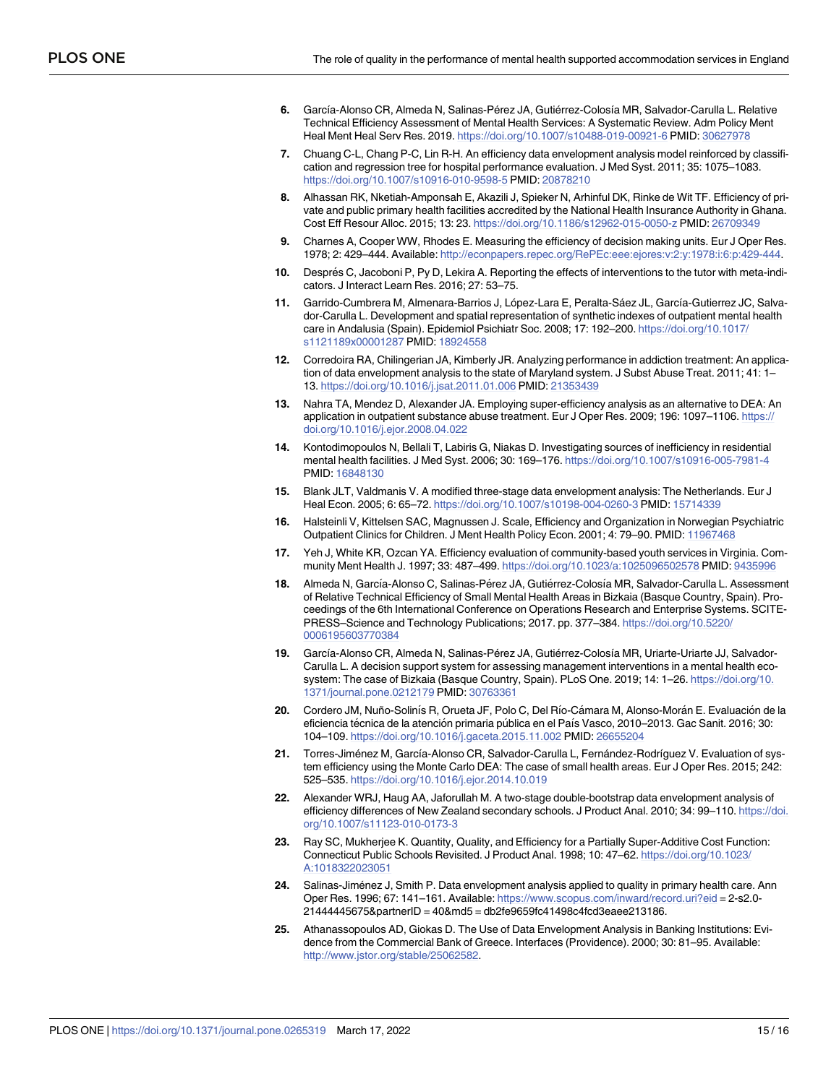- <span id="page-14-0"></span>**[6](#page-11-0).** García-Alonso CR, Almeda N, Salinas-Pérez JA, Gutiérrez-Colosía MR, Salvador-Carulla L. Relative Technical Efficiency Assessment of Mental Health Services: A Systematic Review. Adm Policy Ment Heal Ment Heal Serv Res. 2019. <https://doi.org/10.1007/s10488-019-00921-6> PMID: [30627978](http://www.ncbi.nlm.nih.gov/pubmed/30627978)
- **[7](#page-1-0).** Chuang C-L, Chang P-C, Lin R-H. An efficiency data envelopment analysis model reinforced by classification and regression tree for hospital performance evaluation. J Med Syst. 2011; 35: 1075–1083. <https://doi.org/10.1007/s10916-010-9598-5> PMID: [20878210](http://www.ncbi.nlm.nih.gov/pubmed/20878210)
- **[8](#page-1-0).** Alhassan RK, Nketiah-Amponsah E, Akazili J, Spieker N, Arhinful DK, Rinke de Wit TF. Efficiency of private and public primary health facilities accredited by the National Health Insurance Authority in Ghana. Cost Eff Resour Alloc. 2015; 13: 23. <https://doi.org/10.1186/s12962-015-0050-z> PMID: [26709349](http://www.ncbi.nlm.nih.gov/pubmed/26709349)
- **[9](#page-4-0).** Charnes A, Cooper WW, Rhodes E. Measuring the efficiency of decision making units. Eur J Oper Res. 1978; 2: 429–444. Available: [http://econpapers.repec.org/RePEc:eee:ejores:v:2:y:1978:i:6:p:429-444.](http://econpapers.repec.org/RePEc:eee:ejores:v:2:y:1978:i:6:p:429-444)
- **[10](#page-1-0).** Després C, Jacoboni P, Py D, Lekira A. Reporting the effects of interventions to the tutor with meta-indicators. J Interact Learn Res. 2016; 27: 53–75.
- **[11](#page-1-0).** Garrido-Cumbrera M, Almenara-Barrios J, López-Lara E, Peralta-Sáez JL, García-Gutierrez JC, Salvador-Carulla L. Development and spatial representation of synthetic indexes of outpatient mental health care in Andalusia (Spain). Epidemiol Psichiatr Soc. 2008; 17: 192–200. [https://doi.org/10.1017/](https://doi.org/10.1017/s1121189x00001287) [s1121189x00001287](https://doi.org/10.1017/s1121189x00001287) PMID: [18924558](http://www.ncbi.nlm.nih.gov/pubmed/18924558)
- **[12](#page-2-0).** Corredoira RA, Chilingerian JA, Kimberly JR. Analyzing performance in addiction treatment: An application of data envelopment analysis to the state of Maryland system. J Subst Abuse Treat. 2011; 41: 1– 13. <https://doi.org/10.1016/j.jsat.2011.01.006> PMID: [21353439](http://www.ncbi.nlm.nih.gov/pubmed/21353439)
- **[13](#page-2-0).** Nahra TA, Mendez D, Alexander JA. Employing super-efficiency analysis as an alternative to DEA: An application in outpatient substance abuse treatment. Eur J Oper Res. 2009; 196: 1097–1106. [https://](https://doi.org/10.1016/j.ejor.2008.04.022) [doi.org/10.1016/j.ejor.2008.04.022](https://doi.org/10.1016/j.ejor.2008.04.022)
- **[14](#page-2-0).** Kontodimopoulos N, Bellali T, Labiris G, Niakas D. Investigating sources of inefficiency in residential mental health facilities. J Med Syst. 2006; 30: 169–176. <https://doi.org/10.1007/s10916-005-7981-4> PMID: [16848130](http://www.ncbi.nlm.nih.gov/pubmed/16848130)
- **[15](#page-11-0).** Blank JLT, Valdmanis V. A modified three-stage data envelopment analysis: The Netherlands. Eur J Heal Econ. 2005; 6: 65–72. <https://doi.org/10.1007/s10198-004-0260-3> PMID: [15714339](http://www.ncbi.nlm.nih.gov/pubmed/15714339)
- **[16](#page-2-0).** Halsteinli V, Kittelsen SAC, Magnussen J. Scale, Efficiency and Organization in Norwegian Psychiatric Outpatient Clinics for Children. J Ment Health Policy Econ. 2001; 4: 79–90. PMID: [11967468](http://www.ncbi.nlm.nih.gov/pubmed/11967468)
- **[17](#page-2-0).** Yeh J, White KR, Ozcan YA. Efficiency evaluation of community-based youth services in Virginia. Community Ment Health J. 1997; 33: 487–499. [https://doi.org/10.1023/a:1025096502578](https://doi.org/10.1023/a%3A1025096502578) PMID: [9435996](http://www.ncbi.nlm.nih.gov/pubmed/9435996)
- [18](#page-9-0). Almeda N, García-Alonso C, Salinas-Pérez JA, Gutiérrez-Colosía MR, Salvador-Carulla L. Assessment of Relative Technical Efficiency of Small Mental Health Areas in Bizkaia (Basque Country, Spain). Proceedings of the 6th International Conference on Operations Research and Enterprise Systems. SCITE-PRESS–Science and Technology Publications; 2017. pp. 377–384. [https://doi.org/10.5220/](https://doi.org/10.5220/0006195603770384) [0006195603770384](https://doi.org/10.5220/0006195603770384)
- [19](#page-3-0). García-Alonso CR, Almeda N, Salinas-Pérez JA, Gutiérrez-Colosía MR, Uriarte-Uriarte JJ, Salvador-Carulla L. A decision support system for assessing management interventions in a mental health ecosystem: The case of Bizkaia (Basque Country, Spain). PLoS One. 2019; 14: 1–26. [https://doi.org/10.](https://doi.org/10.1371/journal.pone.0212179) [1371/journal.pone.0212179](https://doi.org/10.1371/journal.pone.0212179) PMID: [30763361](http://www.ncbi.nlm.nih.gov/pubmed/30763361)
- [20](#page-2-0). Cordero JM, Nuño-Solinís R, Orueta JF, Polo C, Del Río-Cámara M, Alonso-Morán E. Evaluación de la eficiencia técnica de la atención primaria pública en el País Vasco, 2010–2013. Gac Sanit. 2016; 30: 104–109. <https://doi.org/10.1016/j.gaceta.2015.11.002> PMID: [26655204](http://www.ncbi.nlm.nih.gov/pubmed/26655204)
- [21](#page-4-0). Torres-Jiménez M, García-Alonso CR, Salvador-Carulla L, Fernández-Rodríguez V. Evaluation of system efficiency using the Monte Carlo DEA: The case of small health areas. Eur J Oper Res. 2015; 242: 525–535. <https://doi.org/10.1016/j.ejor.2014.10.019>
- **[22](#page-2-0).** Alexander WRJ, Haug AA, Jaforullah M. A two-stage double-bootstrap data envelopment analysis of efficiency differences of New Zealand secondary schools. J Product Anal. 2010; 34: 99–110. [https://doi.](https://doi.org/10.1007/s11123-010-0173-3) [org/10.1007/s11123-010-0173-3](https://doi.org/10.1007/s11123-010-0173-3)
- **23.** Ray SC, Mukherjee K. Quantity, Quality, and Efficiency for a Partially Super-Additive Cost Function: Connecticut Public Schools Revisited. J Product Anal. 1998; 10: 47–62. [https://doi.org/10.1023/](https://doi.org/10.1023/A%3A1018322023051) [A:1018322023051](https://doi.org/10.1023/A%3A1018322023051)
- **24.** Salinas-Jiménez J, Smith P. Data envelopment analysis applied to quality in primary health care. Ann Oper Res. 1996; 67: 141–161. Available: <https://www.scopus.com/inward/record.uri?eid> = 2-s2.0- 21444445675&partnerID = 40&md5 = db2fe9659fc41498c4fcd3eaee213186.
- **[25](#page-2-0).** Athanassopoulos AD, Giokas D. The Use of Data Envelopment Analysis in Banking Institutions: Evidence from the Commercial Bank of Greece. Interfaces (Providence). 2000; 30: 81–95. Available: <http://www.jstor.org/stable/25062582>.